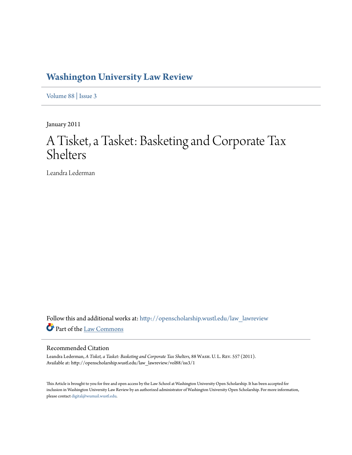## **[Washington University Law Review](http://openscholarship.wustl.edu/law_lawreview?utm_source=openscholarship.wustl.edu%2Flaw_lawreview%2Fvol88%2Fiss3%2F1&utm_medium=PDF&utm_campaign=PDFCoverPages)**

[Volume 88](http://openscholarship.wustl.edu/law_lawreview/vol88?utm_source=openscholarship.wustl.edu%2Flaw_lawreview%2Fvol88%2Fiss3%2F1&utm_medium=PDF&utm_campaign=PDFCoverPages) | [Issue 3](http://openscholarship.wustl.edu/law_lawreview/vol88/iss3?utm_source=openscholarship.wustl.edu%2Flaw_lawreview%2Fvol88%2Fiss3%2F1&utm_medium=PDF&utm_campaign=PDFCoverPages)

January 2011

# A Tisket, a Tasket: Basketing and Corporate Tax Shelters

Leandra Lederman

Follow this and additional works at: [http://openscholarship.wustl.edu/law\\_lawreview](http://openscholarship.wustl.edu/law_lawreview?utm_source=openscholarship.wustl.edu%2Flaw_lawreview%2Fvol88%2Fiss3%2F1&utm_medium=PDF&utm_campaign=PDFCoverPages) Part of the [Law Commons](http://network.bepress.com/hgg/discipline/578?utm_source=openscholarship.wustl.edu%2Flaw_lawreview%2Fvol88%2Fiss3%2F1&utm_medium=PDF&utm_campaign=PDFCoverPages)

#### Recommended Citation

Leandra Lederman, *A Tisket, a Tasket: Basketing and Corporate Tax Shelters*, 88 Wash. U. L. Rev. 557 (2011). Available at: http://openscholarship.wustl.edu/law\_lawreview/vol88/iss3/1

This Article is brought to you for free and open access by the Law School at Washington University Open Scholarship. It has been accepted for inclusion in Washington University Law Review by an authorized administrator of Washington University Open Scholarship. For more information, please contact [digital@wumail.wustl.edu.](mailto:digital@wumail.wustl.edu)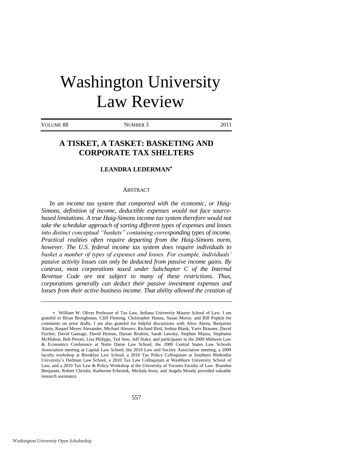# Washington University Law Review

VOLUME 88 NUMBER 3 2011

### **A TISKET, A TASKET: BASKETING AND CORPORATE TAX SHELTERS**

#### **LEANDRA LEDERMAN**

#### ABSTRACT

*In an income tax system that comported with the economic, or Haig-Simons, definition of income, deductible expenses would not face sourcebased limitations. A true Haig-Simons income tax system therefore would not take the schedular approach of sorting different types of expenses and losses into distinct conceptual "baskets" containing corresponding types of income. Practical realities often require departing from the Haig-Simons norm, however. The U.S. federal income tax system does require individuals to basket a number of types of expenses and losses. For example, individuals' passive activity losses can only be deducted from passive income gains. By contrast, most corporations taxed under Subchapter C of the Internal Revenue Code are not subject to many of these restrictions. Thus, corporations generally can deduct their passive investment expenses and*  losses from their active business income. That ability allowed the creation of

William W. Oliver Professor of Tax Law, Indiana University Maurer School of Law. I am grateful to Brian Broughman, Cliff Fleming, Christopher Hanna, Susan Morse, and Bill Popkin for comments on prior drafts. I am also grateful for helpful discussions with Alice Abreu, Benjamin Alarie, Raquel Meyer Alexander, Michael Alexeev, Richard Bird, Joshua Blank, Yariv Brauner, David Fischer, David Gamage, David Hyman, Darian Ibrahim, Sarah Lawsky, Stephen Mazza, Stephanie McMahon, Bob Peroni, Lisa Philipps, Ted Seto, Jeff Stake, and participants in the 2009 Midwest Law & Economics Conference at Notre Dame Law School, the 2009 Central States Law Schools Association meeting at Capital Law School, the 2010 Law and Society Association meeting, a 2009 faculty workshop at Brooklyn Law School, a 2010 Tax Policy Colloquium at Southern Methodist University's Dedman Law School, a 2010 Tax Law Colloquium at Washburn University School of Law, and a 2010 Tax Law & Policy Workshop at the University of Toronto Faculty of Law. Brandon Benjamin, Robert Christie, Katherine Erbeznik, Michala Irons, and Angela Moudy provided valuable research assistance.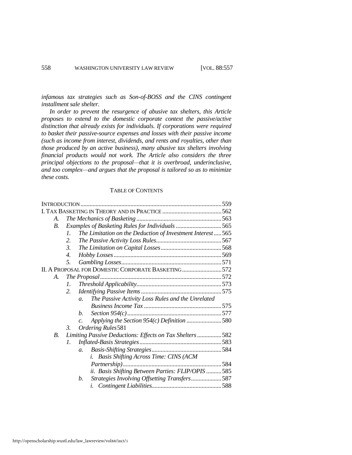*infamous tax strategies such as Son-of-BOSS and the CINS contingent installment sale shelter.* 

*In order to prevent the resurgence of abusive tax shelters, this Article proposes to extend to the domestic corporate context the passive/active distinction that already exists for individuals. If corporations were required to basket their passive-source expenses and losses with their passive income (such as income from interest, dividends, and rents and royalties, other than those produced by an active business), many abusive tax shelters involving financial products would not work. The Article also considers the three principal objections to the proposal—that it is overbroad, underinclusive, and too complex—and argues that the proposal is tailored so as to minimize these costs.* 

#### TABLE OF CONTENTS

| A.                                                 |                                                                           |  |
|----------------------------------------------------|---------------------------------------------------------------------------|--|
| $B_{\cdot}$                                        | Examples of Basketing Rules for Individuals 565                           |  |
|                                                    | The Limitation on the Deduction of Investment Interest 565<br>$l_{\cdot}$ |  |
|                                                    | 2.                                                                        |  |
|                                                    | 3.                                                                        |  |
|                                                    | 4.                                                                        |  |
|                                                    | 5.                                                                        |  |
| II. A PROPOSAL FOR DOMESTIC CORPORATE BASKETING572 |                                                                           |  |
| A.                                                 |                                                                           |  |
|                                                    | $\mathcal{I}$ .                                                           |  |
|                                                    | 2.                                                                        |  |
|                                                    | The Passive Activity Loss Rules and the Unrelated<br>$\overline{a}$ .     |  |
|                                                    |                                                                           |  |
|                                                    | b.                                                                        |  |
|                                                    | $\overline{c}$ .                                                          |  |
|                                                    | $\mathcal{E}$<br>Ordering Rules 581                                       |  |
| <i>B</i> .                                         | Limiting Passive Deductions: Effects on Tax Shelters 582                  |  |
|                                                    | $\mathcal{I}$ .                                                           |  |
|                                                    | $\mathfrak{a}$ .                                                          |  |
|                                                    | Basis Shifting Across Time: CINS (ACM<br>i.                               |  |
|                                                    |                                                                           |  |
|                                                    | ii. Basis Shifting Between Parties: FLIP/OPIS  585                        |  |
|                                                    | Strategies Involving Offsetting Transfers 587<br>b.                       |  |
|                                                    |                                                                           |  |
|                                                    |                                                                           |  |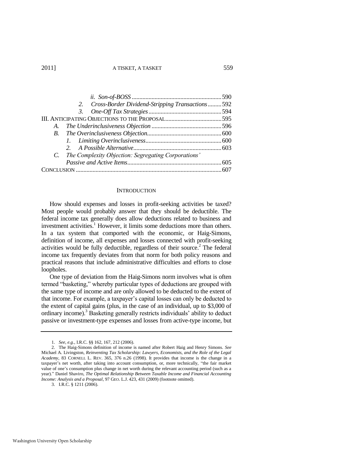| 2. Cross-Border Dividend-Stripping Transactions592                                                   |  |  |
|------------------------------------------------------------------------------------------------------|--|--|
|                                                                                                      |  |  |
|                                                                                                      |  |  |
| A.                                                                                                   |  |  |
|                                                                                                      |  |  |
|                                                                                                      |  |  |
|                                                                                                      |  |  |
| C. The Complexity Objection: Segregating Corporations'                                               |  |  |
|                                                                                                      |  |  |
| 007.com/index.com/index.com/index.com/index.com/index.com/index.com/index.com/index.com/index.com/in |  |  |

#### **INTRODUCTION**

How should expenses and losses in profit-seeking activities be taxed? Most people would probably answer that they should be deductible. The federal income tax generally does allow deductions related to business and investment activities.<sup>1</sup> However, it limits some deductions more than others. In a tax system that comported with the economic, or Haig-Simons, definition of income, all expenses and losses connected with profit-seeking activities would be fully deductible, regardless of their source.<sup>2</sup> The federal income tax frequently deviates from that norm for both policy reasons and practical reasons that include administrative difficulties and efforts to close loopholes.

One type of deviation from the Haig-Simons norm involves what is often termed "basketing," whereby particular types of deductions are grouped with the same type of income and are only allowed to be deducted to the extent of that income. For example, a taxpayer's capital losses can only be deducted to the extent of capital gains (plus, in the case of an individual, up to \$3,000 of ordinary income).<sup>3</sup> Basketing generally restricts individuals' ability to deduct passive or investment-type expenses and losses from active-type income, but

<sup>1.</sup> *See, e.g.*, I.R.C. §§ 162, 167, 212 (2006).

<sup>2.</sup> The Haig-Simons definition of income is named after Robert Haig and Henry Simons. *See* Michael A. Livingston, *Reinventing Tax Scholarship: Lawyers, Economists, and the Role of the Legal Academy*, 83 CORNELL L. REV. 365, 376 n.26 (1998). It provides that income is the change in a taxpayer's net worth, after taking into account consumption, or, more technically, "the fair market value of one's consumption plus change in net worth during the relevant accounting period (such as a year)." Daniel Shaviro, *The Optimal Relationship Between Taxable Income and Financial Accounting Income: Analysis and a Proposal*, 97 GEO. L.J. 423, 431 (2009) (footnote omitted).

<sup>3.</sup> I.R.C. § 1211 (2006).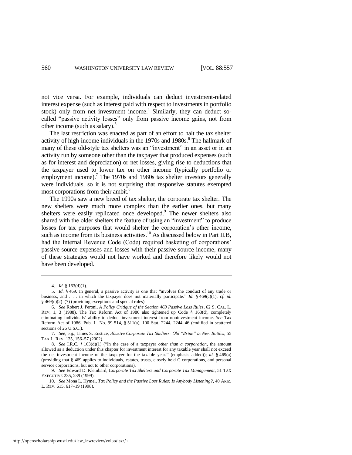not vice versa. For example, individuals can deduct investment-related interest expense (such as interest paid with respect to investments in portfolio stock) only from net investment income.<sup>4</sup> Similarly, they can deduct socalled "passive activity losses" only from passive income gains, not from other income (such as salary). $5$ 

<span id="page-4-0"></span>The last restriction was enacted as part of an effort to halt the tax shelter activity of high-income individuals in the 1970s and 1980s.<sup>6</sup> The hallmark of many of these old-style tax shelters was an "investment" in an asset or in an activity run by someone other than the taxpayer that produced expenses (such as for interest and depreciation) or net losses, giving rise to deductions that the taxpayer used to lower tax on other income (typically portfolio or employment income).<sup>7</sup> The 1970s and 1980s tax shelter investors generally were individuals, so it is not surprising that responsive statutes exempted most corporations from their ambit.<sup>8</sup>

The 1990s saw a new breed of tax shelter, the corporate tax shelter. The new shelters were much more complex than the earlier ones, but many shelters were easily replicated once developed.<sup>9</sup> The newer shelters also shared with the older shelters the feature of using an "investment" to produce losses for tax purposes that would shelter the corporation's other income, such as income from its business activities.<sup>10</sup> As discussed below in Part II.B, had the Internal Revenue Code (Code) required basketing of corporations' passive-source expenses and losses with their passive-source income, many of these strategies would not have worked and therefore likely would not have been developed.

<sup>4.</sup> *Id.* § 163(d)(1).

<sup>5.</sup> *Id.* § 469. In general, a passive activity is one that "involves the conduct of any trade or business, and . . . in which the taxpayer does not materially participate." *Id.* § 469(c)(1); *cf. id.* § 469(c)(2)–(7) (providing exceptions and special rules).

<sup>6.</sup> *See* Robert J. Peroni, *A Policy Critique of the Section 469 Passive Loss Rules*, 62 S. CAL. L. REV. 1, 3 (1988). The Tax Reform Act of 1986 also tightened up Code § 163(d), completely eliminating individuals' ability to deduct investment interest from noninvestment income. *See* Tax Reform Act of 1986, Pub. L. No. 99-514, § 511(a), 100 Stat. 2244, 2244–46 (codified in scattered sections of 26 U.S.C.).

<sup>7.</sup> *See, e.g.*, James S. Eustice, *Abusive Corporate Tax Shelters: Old "Brine" in New Bottles*, 55 TAX L. REV. 135, 156–57 (2002).

<sup>8.</sup> *See* I.R.C. § 163(d)(1) ("In the case of a taxpayer *other than a corporation*, the amount allowed as a deduction under this chapter for investment interest for any taxable year shall not exceed the net investment income of the taxpayer for the taxable year.‖ (emphasis added)); *id.* § 469(a) (providing that § 469 applies to individuals, estates, trusts, closely held C corporations, and personal service corporations, but not to other corporations).

<sup>9.</sup> *See* Edward D. Kleinbard, *Corporate Tax Shelters and Corporate Tax Management*, 51 TAX EXECUTIVE 235, 239 (1999).

<sup>10.</sup> *See* Mona L. Hymel, *Tax Policy and the Passive Loss Rules: Is Anybody Listening?*, 40 ARIZ. L. REV. 615, 617–19 (1998).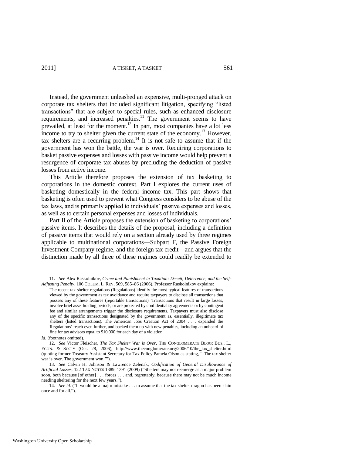2011] A TISKET, A TASKET 561

<span id="page-5-0"></span>Instead, the government unleashed an expensive, multi-pronged attack on corporate tax shelters that included significant litigation, specifying "listed transactions‖ that are subject to special rules, such as enhanced disclosure requirements, and increased penalties.<sup>11</sup> The government seems to have prevailed, at least for the moment.<sup>12</sup> In part, most companies have a lot less income to try to shelter given the current state of the economy.<sup>13</sup> However, tax shelters are a recurring problem.<sup>14</sup> It is not safe to assume that if the government has won the battle, the war is over. Requiring corporations to basket passive expenses and losses with passive income would help prevent a resurgence of corporate tax abuses by precluding the deduction of passive losses from active income.

This Article therefore proposes the extension of tax basketing to corporations in the domestic context. Part I explores the current uses of basketing domestically in the federal income tax. This part shows that basketing is often used to prevent what Congress considers to be abuse of the tax laws, and is primarily applied to individuals' passive expenses and losses, as well as to certain personal expenses and losses of individuals.

Part II of the Article proposes the extension of basketing to corporations' passive items. It describes the details of the proposal, including a definition of passive items that would rely on a section already used by three regimes applicable to multinational corporations—Subpart F, the Passive Foreign Investment Company regime, and the foreign tax credit—and argues that the distinction made by all three of these regimes could readily be extended to

<sup>11.</sup> *See* Alex Raskolnikov, *Crime and Punishment in Taxation: Deceit, Deterrence, and the Self-Adjusting Penalty*, 106 COLUM. L. REV. 569, 585–86 (2006). Professor Raskolnikov explains:

The recent tax shelter regulations (Regulations) identify the most typical features of transactions viewed by the government as tax avoidance and require taxpayers to disclose all transactions that possess any of these features (reportable transactions). Transactions that result in large losses, involve brief asset holding periods, or are protected by confidentiality agreements or by contingent fee and similar arrangements trigger the disclosure requirements. Taxpayers must also disclose any of the specific transactions designated by the government as, essentially, illegitimate tax shelters (listed transactions). The American Jobs Creation Act of 2004 . . . expanded the Regulations' reach even further, and backed them up with new penalties, including an unheard-of fine for tax advisors equal to \$10,000 for each day of a violation.

*Id.* (footnotes omitted).

<sup>12.</sup> *See* Victor Fleischer, *The Tax Shelter War is Over*, THE CONGLOMERATE BLOG: BUS., L., ECON. & SOC'Y (Oct. 28, 2006), http://www.theconglomerate.org/2006/10/the\_tax\_shelter.html (quoting former Treasury Assistant Secretary for Tax Policy Pamela Olson as stating, "The tax shelter war is over. The government won."").

<sup>13.</sup> *See* Calvin H. Johnson & Lawrence Zelenak, *Codification of General Disallowance of*  Artificial Losses, 122 TAX NOTES 1389, 1391 (2009) ("Shelters may not reemerge as a major problem soon, both because [of other] . . . forces . . . and, regrettably, because there may not be much income needing sheltering for the next few years.").

<sup>14.</sup> *See id.* ("It would be a major mistake . . . to assume that the tax shelter dragon has been slain once and for all.").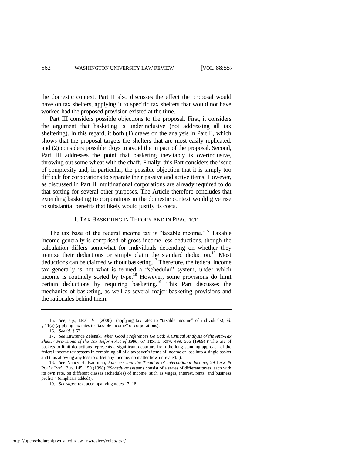the domestic context. Part II also discusses the effect the proposal would have on tax shelters, applying it to specific tax shelters that would not have worked had the proposed provision existed at the time.

Part III considers possible objections to the proposal. First, it considers the argument that basketing is underinclusive (not addressing all tax sheltering). In this regard, it both (1) draws on the analysis in Part II, which shows that the proposal targets the shelters that are most easily replicated, and (2) considers possible ploys to avoid the impact of the proposal. Second, Part III addresses the point that basketing inevitably is overinclusive, throwing out some wheat with the chaff. Finally, this Part considers the issue of complexity and, in particular, the possible objection that it is simply too difficult for corporations to separate their passive and active items. However, as discussed in Part II, multinational corporations are already required to do that sorting for several other purposes. The Article therefore concludes that extending basketing to corporations in the domestic context would give rise to substantial benefits that likely would justify its costs.

#### <span id="page-6-1"></span><span id="page-6-0"></span>I. TAX BASKETING IN THEORY AND IN PRACTICE

The tax base of the federal income tax is "taxable income."<sup>15</sup> Taxable income generally is comprised of gross income less deductions, though the calculation differs somewhat for individuals depending on whether they itemize their deductions or simply claim the standard deduction.<sup>16</sup> Most deductions can be claimed without basketing.<sup>17</sup> Therefore, the federal income tax generally is not what is termed a "schedular" system, under which income is routinely sorted by type.<sup>18</sup> However, some provisions do limit certain deductions by requiring basketing.<sup>19</sup> This Part discusses the mechanics of basketing, as well as several major basketing provisions and the rationales behind them.

<sup>15.</sup> See, e.g., I.R.C. § 1 (2006) (applying tax rates to "taxable income" of individuals); *id.* § 11(a) (applying tax rates to "taxable income" of corporations).

<sup>16.</sup> *See id.* § 63.

<sup>17.</sup> *See* Lawrence Zelenak, *When Good Preferences Go Bad: A Critical Analysis of the Anti-Tax Shelter Provisions of the Tax Reform Act of 1986*, 67 TEX. L. REV. 499, 566 (1989) ("The use of baskets to limit deductions represents a significant departure from the long-standing approach of the federal income tax system in combining all of a taxpayer's items of income or loss into a single basket and thus allowing any loss to offset any income, no matter how unrelated.").

<sup>18.</sup> *See* Nancy H. Kaufman, *Fairness and the Taxation of International Income*, 29 LAW & POL'Y INT'L BUS. 145, 159 (1998) ("Schedular systems consist of a series of different taxes, each with its own rate, on different classes (schedules) of income, such as wages, interest, rents, and business profits." (emphasis added)).

<sup>19.</sup> *See supra* text accompanying note[s 17](#page-6-0)[–18.](#page-6-1)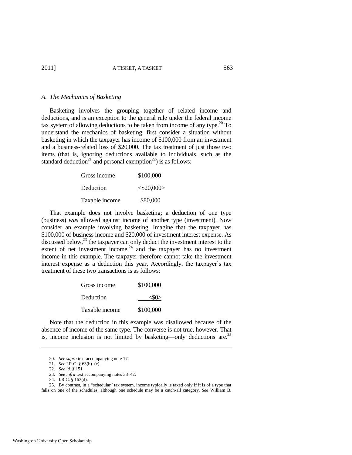#### *A. The Mechanics of Basketing*

Basketing involves the grouping together of related income and deductions, and is an exception to the general rule under the federal income tax system of allowing deductions to be taken from income of any type.<sup>20</sup> To understand the mechanics of basketing, first consider a situation without basketing in which the taxpayer has income of \$100,000 from an investment and a business-related loss of \$20,000. The tax treatment of just those two items (that is, ignoring deductions available to individuals, such as the standard deduction<sup>21</sup> and personal exemption<sup>22</sup>) is as follows:

| Gross income   | \$100,000 |
|----------------|-----------|
| Deduction      |           |
| Taxable income | \$80,000  |

That example does not involve basketing; a deduction of one type (business) *was* allowed against income of another type (investment). Now consider an example involving basketing. Imagine that the taxpayer has \$100,000 of business income and \$20,000 of investment interest expense. As discussed below,<sup>23</sup> the taxpayer can only deduct the investment interest to the extent of net investment income, $24$  and the taxpayer has no investment income in this example. The taxpayer therefore cannot take the investment interest expense as a deduction this year. Accordingly, the taxpayer's tax treatment of these two transactions is as follows:

<span id="page-7-0"></span>

| Gross income   | \$100,000      |
|----------------|----------------|
| Deduction      | $<\!\!50\!\!>$ |
| Taxable income | \$100,000      |

Note that the deduction in this example was disallowed because of the absence of income of the same type. The converse is not true, however. That is, income inclusion is not limited by basketing—only deductions are.<sup>25</sup>

25. By contrast, in a "schedular" tax system, income typically is taxed only if it is of a type that falls on one of the schedules, although one schedule may be a catch-all category. *See* William B.

<sup>20.</sup> *See supra* text accompanying not[e 17.](#page-6-0)

<sup>21.</sup> *See* I.R.C. § 63(b)–(c).

<sup>22.</sup> *See id.* § 151.

<sup>23.</sup> *See infra* text accompanying note[s 38](#page-9-0)[–42.](#page-9-1) 

<sup>24.</sup> I.R.C. § 163(d).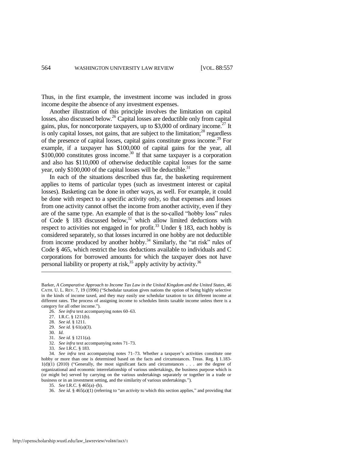Thus, in the first example, the investment income was included in gross income despite the absence of any investment expenses.

Another illustration of this principle involves the limitation on capital losses, also discussed below.<sup>26</sup> Capital losses are deductible only from capital gains, plus, for noncorporate taxpayers, up to \$3,000 of ordinary income.<sup>27</sup> It is only capital losses, not gains, that are subject to the limitation; $^{28}$  regardless of the presence of capital losses, capital gains constitute gross income.<sup>29</sup> For example, if a taxpayer has \$100,000 of capital gains for the year, all  $$100,000$  constitutes gross income.<sup>30</sup> If that same taxpayer is a corporation and also has \$110,000 of otherwise deductible capital losses for the same year, only \$100,000 of the capital losses will be deductible.<sup>31</sup>

In each of the situations described thus far, the basketing requirement applies to items of particular types (such as investment interest or capital losses). Basketing can be done in other ways, as well. For example, it could be done with respect to a specific activity only, so that expenses and losses from one activity cannot offset the income from another activity, even if they are of the same type. An example of that is the so-called "hobby loss" rules of Code § 183 discussed below,<sup>32</sup> which allow limited deductions with respect to activities not engaged in for profit.<sup>33</sup> Under § 183, each hobby is considered separately, so that losses incurred in one hobby are not deductible from income produced by another hobby.<sup>34</sup> Similarly, the "at risk" rules of Code § 465, which restrict the loss deductions available to individuals and C corporations for borrowed amounts for which the taxpayer does not have personal liability or property at risk,  $35$  apply activity by activity.  $36$ 

26. *See infra* text accompanying note[s 60](#page-12-0)[–63.](#page-12-1) 

- 27. I.R.C. § 1211(b).
- 28. *See id.* § 1211.
- 29. *See id.* § 61(a)(3).
- 30. *Id.*

<span id="page-8-0"></span> $\overline{\phantom{a}}$ 

- 31. *See id.* § 1211(a).
- 32. *See infra* text accompanying note[s 71](#page-13-0)[–73.](#page-14-0)
- 33. *See* I.R.C. § 183.

34. *See infra* text accompanying notes [71](#page-13-0)[–73.](#page-14-0) Whether a taxpayer's activities constitute one hobby or more than one is determined based on the facts and circumstances. Treas. Reg. § 1.183- $1(d)(1)$  (2010) ("Generally, the most significant facts and circumstances . . . are the degree of organizational and economic interrelationship of various undertakings, the business purpose which is (or might be) served by carrying on the various undertakings separately or together in a trade or business or in an investment setting, and the similarity of various undertakings.").

35. *See* I.R.C. § 465(a)–(b).

36. *See id.* § 465(a)(1) (referring to "*an activity* to which this section applies," and providing that

Barker, *A Comparative Approach to Income Tax Law in the United Kingdom and the United States*, 46 CATH. U. L. REV. 7, 19 (1996) ("Schedular taxation gives nations the option of being highly selective in the kinds of income taxed, and they may easily use schedular taxation to tax different income at different rates. The process of assigning income to schedules limits taxable income unless there is a category for all other income.").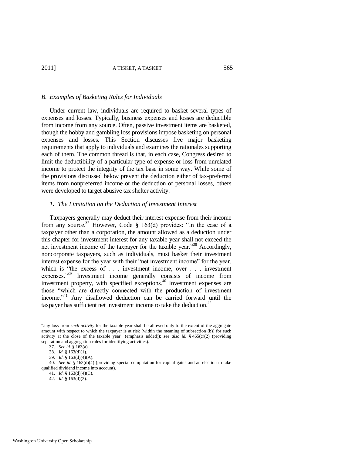#### *B. Examples of Basketing Rules for Individuals*

Under current law, individuals are required to basket several types of expenses and losses. Typically, business expenses and losses are deductible from income from any source. Often, passive investment items are basketed, though the hobby and gambling loss provisions impose basketing on personal expenses and losses. This Section discusses five major basketing requirements that apply to individuals and examines the rationales supporting each of them. The common thread is that, in each case, Congress desired to limit the deductibility of a particular type of expense or loss from unrelated income to protect the integrity of the tax base in some way. While some of the provisions discussed below prevent the deduction either of tax-preferred items from nonpreferred income or the deduction of personal losses, others were developed to target abusive tax shelter activity.

#### <span id="page-9-0"></span>*1. The Limitation on the Deduction of Investment Interest*

Taxpayers generally may deduct their interest expense from their income from any source.<sup>37</sup> However, Code § 163(d) provides: "In the case of a taxpayer other than a corporation, the amount allowed as a deduction under this chapter for investment interest for any taxable year shall not exceed the net investment income of the taxpayer for the taxable year."<sup>38</sup> Accordingly, noncorporate taxpayers, such as individuals, must basket their investment interest expense for the year with their "net investment income" for the year, which is "the excess of . . . investment income, over . . . investment expenses."<sup>39</sup> Investment income generally consists of income from investment property, with specified exceptions.<sup>40</sup> Investment expenses are those "which are directly connected with the production of investment income."<sup>41</sup> Any disallowed deduction can be carried forward until the taxpayer has sufficient net investment income to take the deduction.<sup>42</sup>

l

42. *Id.* § 163(d)(2).

<sup>&</sup>quot;any loss from *such activity* for the taxable year shall be allowed only to the extent of the aggregate amount with respect to which the taxpayer is at risk (within the meaning of subsection (b)) for such activity at the close of the taxable year" (emphasis added)); *see also id.* §  $465(c)(2)$  (providing separation and aggregation rules for identifying activities).

<span id="page-9-1"></span><sup>37.</sup> *See id.* § 163(a).

<sup>38</sup>*. Id.* § 163(d)(1).

<sup>39.</sup> *Id.* § 163(d)(4)(A).

<sup>40.</sup> *See id.* § 163(d)(4) (providing special computation for capital gains and an election to take qualified dividend income into account).

<sup>41.</sup> *Id.* § 163(d)(4)(C).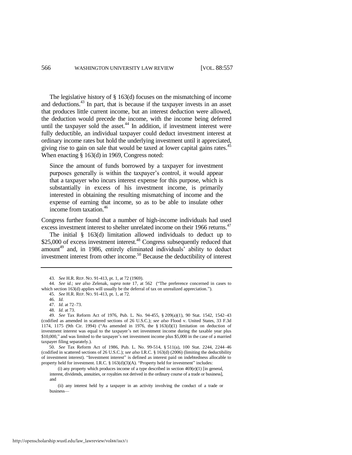The legislative history of § 163(d) focuses on the mismatching of income and deductions.<sup>43</sup> In part, that is because if the taxpayer invests in an asset that produces little current income, but an interest deduction were allowed, the deduction would precede the income, with the income being deferred until the taxpayer sold the asset. $44$  In addition, if investment interest were fully deductible, an individual taxpayer could deduct investment interest at ordinary income rates but hold the underlying investment until it appreciated, giving rise to gain on sale that would be taxed at lower capital gains rates.<sup>45</sup> When enacting § 163(d) in 1969, Congress noted:

Since the amount of funds borrowed by a taxpayer for investment purposes generally is within the taxpayer's control, it would appear that a taxpayer who incurs interest expense for this purpose, which is substantially in excess of his investment income, is primarily interested in obtaining the resulting mismatching of income and the expense of earning that income, so as to be able to insulate other income from taxation.<sup>46</sup>

Congress further found that a number of high-income individuals had used excess investment interest to shelter unrelated income on their 1966 returns.<sup>47</sup>

The initial § 163(d) limitation allowed individuals to deduct up to  $$25,000$  of excess investment interest.<sup>48</sup> Congress subsequently reduced that amount<sup>49</sup> and, in 1986, entirely eliminated individuals' ability to deduct investment interest from other income.<sup>50</sup> Because the deductibility of interest

50. *See* Tax Reform Act of 1986, Pub. L. No. 99-514, § 511(a), 100 Stat. 2244, 2244–46 (codified in scattered sections of 26 U.S.C.); *see also* I.R.C. § 163(d) (2006) (limiting the deductibility of investment interest). "Investment interest" is defined as interest paid on indebtedness allocable to property held for investment. I.R.C.  $\S 163(d)(3)(A)$ . "Property held for investment" includes:

(i) any property which produces income of a type described in section  $469(e)(1)$  [in general, interest, dividends, annuities, or royalties not derived in the ordinary course of a trade or business], and

 (ii) any interest held by a taxpayer in an activity involving the conduct of a trade or business—

<sup>43.</sup> *See* H.R. REP. NO. 91-413, pt. 1, at 72 (1969).

<sup>44.</sup> *See id.*; *see also* Zelenak, *supra* note [17,](#page-6-0) at 562 ("The preference concerned in cases to which section  $163(d)$  applies will usually be the deferral of tax on unrealized appreciation.").

<sup>45.</sup> *See* H.R. REP. NO. 91-413, pt. 1, at 72.

<sup>46.</sup> *Id.*

<sup>47.</sup> *Id.* at 72–73.

<sup>48.</sup> *Id.* at 73.

<sup>49.</sup> *See* Tax Reform Act of 1976, Pub. L. No. 94-455, § 209(a)(1), 90 Stat. 1542, 1542–43 (codified as amended in scattered sections of 26 U.S.C.); *see also* Flood v. United States, 33 F.3d 1174, 1175 (9th Cir. 1994) ("As amended in 1976, the  $\S 163(d)(1)$  limitation on deduction of investment interest was equal to the taxpayer's net investment income during the taxable year plus \$10,000," and was limited to the taxpayer's net investment income plus \$5,000 in the case of a married taxpayer filing separately.).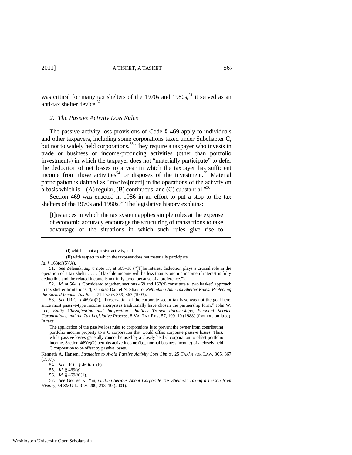was critical for many tax shelters of the  $1970s$  and  $1980s$ , <sup>51</sup> it served as an anti-tax shelter device.<sup>52</sup>

#### <span id="page-11-1"></span><span id="page-11-0"></span>*2. The Passive Activity Loss Rules*

The passive activity loss provisions of Code § 469 apply to individuals and other taxpayers, including some corporations taxed under Subchapter C, but not to widely held corporations.<sup>53</sup> They require a taxpayer who invests in trade or business or income-producing activities (other than portfolio investments) in which the taxpayer does not "materially participate" to defer the deduction of net losses to a year in which the taxpayer has sufficient income from those activities<sup>54</sup> or disposes of the investment.<sup>55</sup> Material participation is defined as "involve[ment] in the operations of the activity on a basis which is—(A) regular, (B) continuous, and (C) substantial.<sup>556</sup>

Section 469 was enacted in 1986 in an effort to put a stop to the tax shelters of the 1970s and 1980s.<sup>57</sup> The legislative history explains:

[I]nstances in which the tax system applies simple rules at the expense of economic accuracy encourage the structuring of transactions to take advantage of the situations in which such rules give rise to

(II) with respect to which the taxpayer does not materially participate.

l

56. *Id.* § 469(h)(1).

 <sup>(</sup>I) which is not a passive activity, and

*Id.* § 163(d)(5)(A).

<sup>51.</sup> *See* Zelenak, *supra* note [17,](#page-6-0) at 509-10 ("[T]he interest deduction plays a crucial role in the operation of a tax shelter. . . . [T]axable income will be less than economic income if interest is fully deductible and the related income is not fully taxed because of a preference.").

<sup>52.</sup> *Id.* at 564 ("Considered together, sections 469 and 163(d) constitute a 'two basket' approach to tax shelter limitations.‖); *see also* Daniel N. Shaviro, *Rethinking Anti-Tax Shelter Rules: Protecting the Earned Income Tax Base*, 71 TAXES 859, 867 (1993).

<sup>53.</sup> See I.R.C. § 469(a)(2). "Preservation of the corporate sector tax base was not the goal here, since most passive-type income enterprises traditionally have chosen the partnership form." John W. Lee, *Entity Classification and Integration: Publicly Traded Partnerships, Personal Service Corporations, and the Tax Legislative Process*, 8 VA. TAX REV. 57, 109–10 (1988) (footnote omitted). In fact:

The application of the passive loss rules to corporations is to prevent the owner from contributing portfolio income property to a C corporation that would offset corporate passive losses. Thus, while passive losses generally cannot be used by a closely held C corporation to offset portfolio income, Section 469(e)(2) permits active income (i.e., normal business income) of a closely held C corporation to be offset by passive losses.

Kenneth A. Hansen, *Strategies to Avoid Passive Activity Loss Limits*, 25 TAX'N FOR LAW. 365, 367 (1997).

<sup>54.</sup> *See* I.R.C. § 469(a)–(b).

<sup>55.</sup> *Id.* § 469(g).

<sup>57.</sup> *See* George K. Yin, *Getting Serious About Corporate Tax Shelters: Taking a Lesson from History*, 54 SMU L. REV. 209, 218–19 (2001).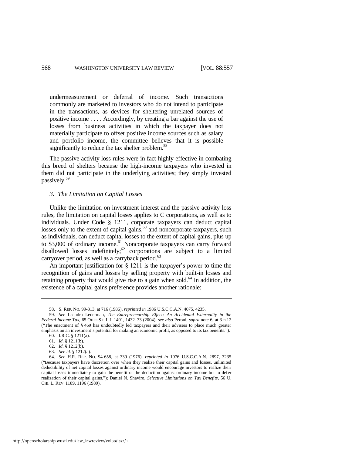undermeasurement or deferral of income. Such transactions commonly are marketed to investors who do not intend to participate in the transactions, as devices for sheltering unrelated sources of positive income . . . . Accordingly, by creating a bar against the use of losses from business activities in which the taxpayer does not materially participate to offset positive income sources such as salary and portfolio income, the committee believes that it is possible significantly to reduce the tax shelter problem.<sup>58</sup>

The passive activity loss rules were in fact highly effective in combating this breed of shelters because the high-income taxpayers who invested in them did not participate in the underlying activities; they simply invested passively.<sup>59</sup>

#### <span id="page-12-2"></span><span id="page-12-0"></span>*3. The Limitation on Capital Losses*

Unlike the limitation on investment interest and the passive activity loss rules, the limitation on capital losses applies to C corporations, as well as to individuals. Under Code § 1211, corporate taxpayers can deduct capital losses only to the extent of capital gains, $60$  and noncorporate taxpayers, such as individuals, can deduct capital losses to the extent of capital gains, plus up to \$3,000 of ordinary income.<sup>61</sup> Noncorporate taxpayers can carry forward disallowed losses indefinitely; $62$  corporations are subject to a limited carryover period, as well as a carryback period.<sup>63</sup>

<span id="page-12-1"></span>An important justification for § 1211 is the taxpayer's power to time the recognition of gains and losses by selling property with built-in losses and retaining property that would give rise to a gain when sold.<sup>64</sup> In addition, the existence of a capital gains preference provides another rationale:

<sup>58.</sup> S. REP. NO. 99-313, at 716 (1986), *reprinted in* 1986 U.S.C.C.A.N. 4075, 4235.

<sup>59.</sup> *See* Leandra Lederman, *The Entrepreneurship Effect: An Accidental Externality in the Federal Income Tax*, 65 OHIO ST. L.J. 1401, 1432–33 (2004); *see also* Peroni, *supra* not[e 6,](#page-4-0) at 3 n.12 (―The enactment of § 469 has undoubtedly led taxpayers and their advisers to place much greater emphasis on an investment's potential for making an economic profit, as opposed to its tax benefits.").

<sup>60.</sup> I.R.C. § 1211(a).

<sup>61.</sup> *Id.* § 1211(b).

<sup>62.</sup> *Id.* § 1212(b).

<sup>63.</sup> *See id.* § 1212(a).

<sup>64.</sup> *See* H.R. REP. NO. 94-658, at 339 (1976), *reprinted in* 1976 U.S.C.C.A.N. 2897, 3235 (―Because taxpayers have discretion over when they realize their capital gains and losses, unlimited deductibility of net capital losses against ordinary income would encourage investors to realize their capital losses immediately to gain the benefit of the deduction against ordinary income but to defer realization of their capital gains.‖); Daniel N. Shaviro, *Selective Limitations on Tax Benefits*, 56 U. CHI. L. REV. 1189, 1196 (1989).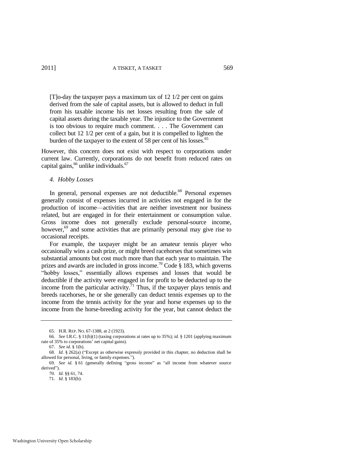[T]o-day the taxpayer pays a maximum tax of 12 1/2 per cent on gains derived from the sale of capital assets, but is allowed to deduct in full from his taxable income his net losses resulting from the sale of capital assets during the taxable year. The injustice to the Government is too obvious to require much comment. . . . The Government can collect but 12 1/2 per cent of a gain, but it is compelled to lighten the burden of the taxpayer to the extent of 58 per cent of his losses.<sup>65</sup>

However, this concern does not exist with respect to corporations under current law. Currently, corporations do not benefit from reduced rates on capital gains,  $66$  unlike individuals.  $67$ 

#### *4. Hobby Losses*

In general, personal expenses are not deductible.<sup>68</sup> Personal expenses generally consist of expenses incurred in activities not engaged in for the production of income—activities that are neither investment nor business related, but are engaged in for their entertainment or consumption value. Gross income does not generally exclude personal-source income, however,<sup>69</sup> and some activities that are primarily personal may give rise to occasional receipts.

For example, the taxpayer might be an amateur tennis player who occasionally wins a cash prize, or might breed racehorses that sometimes win substantial amounts but cost much more than that each year to maintain. The prizes and awards are included in gross income.<sup>70</sup> Code § 183, which governs ―hobby losses,‖ essentially allows expenses and losses that would be deductible if the activity were engaged in for profit to be deducted up to the income from the particular activity.<sup>71</sup> Thus, if the taxpayer plays tennis and breeds racehorses, he or she generally can deduct tennis expenses up to the income from the tennis activity for the year and horse expenses up to the income from the horse-breeding activity for the year, but cannot deduct the

<span id="page-13-0"></span><sup>65.</sup> H.R. REP. NO. 67-1388, at 2 (1923).

<sup>66.</sup> *See* I.R.C. § 11(b)(1) (taxing corporations at rates up to 35%); *id.* § 1201 (applying maximum rate of 35% to corporations' net capital gains).

<sup>67.</sup> *See id.* § 1(h).

<sup>68.</sup> *Id.* § 262(a) ("Except as otherwise expressly provided in this chapter, no deduction shall be allowed for personal, living, or family expenses.").

<sup>69.</sup> *See id.* § 61 (generally defining "gross income" as "all income from whatever source derived").

<sup>70.</sup> *Id.* §§ 61, 74.

<sup>71.</sup> *Id.* § 183(b).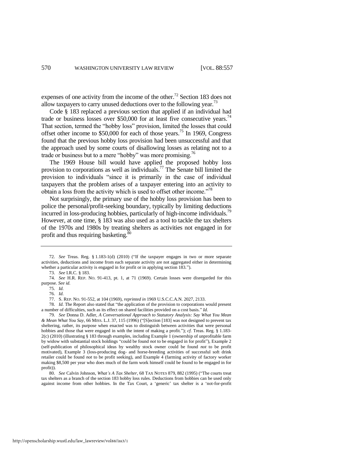expenses of one activity from the income of the other.<sup>72</sup> Section 183 does not allow taxpayers to carry unused deductions over to the following year.<sup>73</sup>

<span id="page-14-0"></span>Code § 183 replaced a previous section that applied if an individual had trade or business losses over \$50,000 for at least five consecutive years.<sup>74</sup> That section, termed the "hobby loss" provision, limited the losses that could offset other income to  $$50,000$  for each of those years.<sup>75</sup> In 1969, Congress found that the previous hobby loss provision had been unsuccessful and that the approach used by some courts of disallowing losses as relating not to a trade or business but to a mere "hobby" was more promising.<sup>76</sup>

The 1969 House bill would have applied the proposed hobby loss provision to corporations as well as individuals.<sup>77</sup> The Senate bill limited the provision to individuals "since it is primarily in the case of individual taxpayers that the problem arises of a taxpayer entering into an activity to obtain a loss from the activity which is used to offset other income."<sup>78</sup>

Not surprisingly, the primary use of the hobby loss provision has been to police the personal/profit-seeking boundary, typically by limiting deductions incurred in loss-producing hobbies, particularly of high-income individuals.<sup>79</sup> However, at one time, § 183 was also used as a tool to tackle the tax shelters of the 1970s and 1980s by treating shelters as activities not engaged in for profit and thus requiring basketing.<sup>80</sup>

http://openscholarship.wustl.edu/law\_lawreview/vol88/iss3/1

<sup>72.</sup> *See* Treas. Reg. § 1.183-1(d) (2010) ("If the taxpayer engages in two or more separate activities, deductions and income from each separate activity are not aggregated either in determining whether a particular activity is engaged in for profit or in applying section 183.").

<sup>73.</sup> *See* I.R.C. § 183.

<sup>74.</sup> *See* H.R. REP. NO. 91-413, pt. 1, at 71 (1969). Certain losses were disregarded for this purpose. *See id.*

<sup>75.</sup> *Id.*

<sup>76.</sup> *Id.*

<sup>77.</sup> S. REP. NO. 91-552, at 104 (1969), *reprinted in* 1969 U.S.C.C.A.N. 2027, 2133.

<sup>78.</sup> *Id.* The Report also stated that "the application of the provision to corporations would present a number of difficulties, such as its effect on shared facilities provided on a cost basis." Id.

<sup>79.</sup> *See* Donna D. Adler, *A Conversational Approach to Statutory Analysis: Say What You Mean*   $\&$  *Mean What You Say*, 66 MISS. L.J. 37, 115 (1996) ("[S]ection [183] was not designed to prevent tax sheltering, rather, its purpose when enacted was to distinguish between activities that were personal hobbies and those that were engaged in with the intent of making a profit."); *cf.* Treas. Reg. § 1.183-2(c) (2010) (illustrating § 183 through examples, including Example 1 (ownership of unprofitable farm by widow with substantial stock holdings "could be found *not* to be engaged in for profit"), Example 2 (self-publication of philosophical ideas by wealthy stock owner could be found *not* to be profit motivated), Example 3 (loss-producing dog- and horse-breeding activities of successful soft drink retailer could be found *not* to be profit seeking), and Example 4 (farming activity of factory worker making \$8,500 per year who does much of the farm work himself could be found to be engaged in for profit)).

<sup>80.</sup> See Calvin Johnson, *What's A Tax Shelter*, 68 TAX NOTES 879, 882 (1995) ("The courts treat tax shelters as a branch of the section 183 hobby loss rules. Deductions from hobbies can be used only against income from other hobbies. In the Tax Court, a 'generic' tax shelter is a 'not-for-profit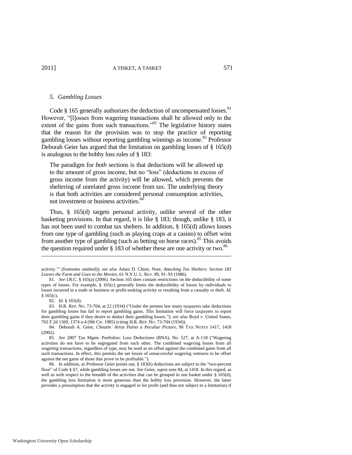#### *5. Gambling Losses*

Code  $\S$  165 generally authorizes the deduction of uncompensated losses.<sup>81</sup> However, "Illosses from wagering transactions shall be allowed only to the extent of the gains from such transactions.<sup>82</sup> The legislative history states that the reason for the provision was to stop the practice of reporting gambling losses without reporting gambling winnings as income.<sup>83</sup> Professor Deborah Geier has argued that the limitation on gambling losses of § 165(d) is analogous to the hobby loss rules of § 183:

<span id="page-15-0"></span>The paradigm for *both* sections is that deductions will be allowed up to the amount of gross income, but no "loss" (deductions in excess of gross income from the activity) will be allowed, which prevents the sheltering of unrelated gross income from tax. The underlying theory is that both activities are considered personal consumption activities, not investment or business activities.<sup>8</sup>

Thus, § 165(d) targets personal activity, unlike several of the other basketing provisions. In that regard, it is like § 183; though, unlike § 183, it has not been used to combat tax shelters. In addition, § 165(d) allows losses from one type of gambling (such as playing craps at a casino) to offset wins from another type of gambling (such as betting on horse races).<sup>85</sup> This avoids the question required under  $\S$  183 of whether these are one activity or two.<sup>86</sup>

81. *See* I.R.C. § 165(a) (2006). Section 165 does contain restrictions on the deductibility of some types of losses. For example, § 165(c) generally limits the deductibility of losses by individuals to losses incurred in a trade or business or profit-seeking activity or resulting from a casualty or theft. *Id.*  § 165(c).

activity."" (footnotes omitted)); see also Adam D. Chinn, Note, Attacking Tax Shelters: Section 183 *Leaves the Farm and Goes to the Movies*, 61 N.Y.U. L. REV. 89, 91–93 (1986).

<sup>82.</sup> *Id.* § 165(d).

<sup>83.</sup> H.R. REP. NO. 73-704, at 22 (1934) ("Under the present law many taxpayers take deductions for gambling losses but fail to report gambling gains. This limitation will force taxpayers to report their gambling gains if they desire to deduct their gambling losses.‖); *see also* Boyd v. United States, 762 F.2d 1369, 1374 n.4 (9th Cir. 1985) (citing H.R. REP. NO. 73-704 (1934)).

<sup>84.</sup> Deborah A. Geier, *Cheatin' Artist Paints a Peculiar Picture*, 96 TAX NOTES 1417, 1418 (2002).

<sup>85.</sup> *See* 2007 Tax Mgmt. Portfolios: Loss Deductions (BNA), No. 527, at A-118 ("Wagering activities do not have to be segregated from each other. The combined wagering losses from all wagering transactions, regardless of type, may be used as an offset against the combined gains from all such transactions. In effect, this permits the net losses of unsuccessful wagering ventures to be offset against the net gains of those that prove to be profitable.").

<sup>86.</sup> In addition, as Professor Geier points out, § 183(b) deductions are subject to the "two-percent floor" of Code § 67, while gambling losses are not. *See* Geier, *supra* not[e 84,](#page-15-0) at 1418. In this regard, as well as with respect to the breadth of the activities that can be grouped in one basket under § 165(d), the gambling loss limitation is more generous than the hobby loss provision. However, the latter provides a presumption that the activity is engaged in for profit (and thus not subject to a limitation) if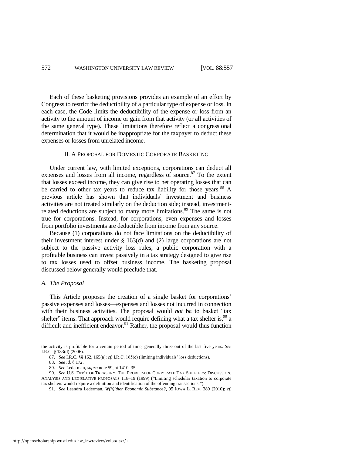Each of these basketing provisions provides an example of an effort by Congress to restrict the deductibility of a particular type of expense or loss. In each case, the Code limits the deductibility of the expense or loss from an activity to the amount of income or gain from that activity (or all activities of the same general type). These limitations therefore reflect a congressional determination that it would be inappropriate for the taxpayer to deduct these expenses or losses from unrelated income.

#### II. A PROPOSAL FOR DOMESTIC CORPORATE BASKETING

Under current law, with limited exceptions, corporations can deduct all expenses and losses from all income, regardless of source. $87$  To the extent that losses exceed income, they can give rise to net operating losses that can be carried to other tax years to reduce tax liability for those years.<sup>88</sup> A previous article has shown that individuals' investment and business activities are not treated similarly on the deduction side; instead, investmentrelated deductions are subject to many more limitations.<sup>89</sup> The same is not true for corporations. Instead, for corporations, even expenses and losses from portfolio investments are deductible from income from any source.

Because (1) corporations do not face limitations on the deductibility of their investment interest under § 163(d) and (2) large corporations are not subject to the passive activity loss rules, a public corporation with a profitable business can invest passively in a tax strategy designed to give rise to tax losses used to offset business income. The basketing proposal discussed below generally would preclude that.

#### *A. The Proposal*

This Article proposes the creation of a single basket for corporations' passive expenses and losses—expenses and losses not incurred in connection with their business activities. The proposal would *not* be to basket "tax shelter" items. That approach would require defining what a tax shelter is, $90$  a difficult and inefficient endeavor. $91$  Rather, the proposal would thus function

- <span id="page-16-1"></span><span id="page-16-0"></span>87. *See* I.R.C. §§ 162, 165(a); *cf.* I.R.C. 165(c) (limiting individuals' loss deductions).
- 88. *See id.* § 172.

the activity is profitable for a certain period of time, generally three out of the last five years. *See* I.R.C. § 183(d) (2006).

<sup>89.</sup> *See* Lederman, *supra* note [59,](#page-12-2) at 1410–35.

<sup>90.</sup> *See* U.S. DEP'T OF TREASURY, THE PROBLEM OF CORPORATE TAX SHELTERS: DISCUSSION, ANALYSIS AND LEGISLATIVE PROPOSALS 118–19 (1999) ("Limiting schedular taxation to corporate tax shelters would require a definition and identification of the offending transactions.").

<sup>91.</sup> *See* Leandra Lederman, *W(h)ither Economic Substance?*, 95 IOWA L. REV. 389 (2010); *cf.*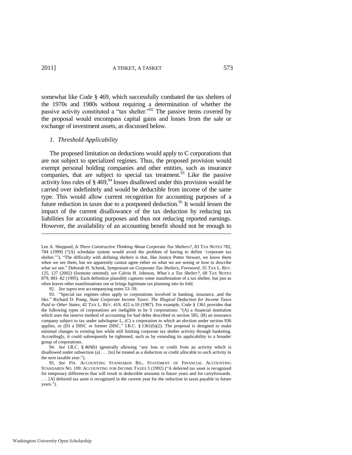somewhat like Code § 469, which successfully combated the tax shelters of the 1970s and 1980s without requiring a determination of whether the passive activity constituted a "tax shelter."<sup>92</sup> The passive items covered by the proposal would encompass capital gains and losses from the sale or exchange of investment assets, as discussed below.

#### <span id="page-17-2"></span><span id="page-17-1"></span><span id="page-17-0"></span>*1. Threshold Applicability*

The proposed limitation on deductions would apply to C corporations that are not subject to specialized regimes. Thus, the proposed provision would exempt personal holding companies and other entities, such as insurance companies, that are subject to special tax treatment.<sup>93</sup> Like the passive activity loss rules of  $\S 469$ ,<sup>94</sup> losses disallowed under this provision would be carried over indefinitely and would be deductible from income of the same type. This would allow current recognition for accounting purposes of a future reduction in taxes due to a postponed deduction.<sup>95</sup> It would lessen the impact of the current disallowance of the tax deduction by reducing tax liabilities for accounting purposes and thus not reducing reported earnings. However, the availability of an accounting benefit should not be enough to

92. *See supra* text accompanying note[s 53](#page-11-0)[–59.](#page-12-2)

Lee A. Sheppard, *Is There Constructive Thinking About Corporate Tax Shelters?*, 83 TAX NOTES 782, 784 (1999)  $(\text{``A})$  schedular system would avoid the problem of having to define 'corporate tax shelter.""). "The difficulty with defining shelters is that, like Justice Potter Stewart, we know them when we see them, but we apparently cannot agree either on what we are seeing or how to describe what we see.‖ Deborah H. Schenk, *Symposium on Corporate Tax Shelters, Foreword*, 55 TAX L. REV. 125, 127 (2002) (footnote omitted); *see* Calvin H. Johnson, *What's a Tax Shelter?*, 68 TAX NOTES 879, 881–82 (1995). Each definition plausibly captures some manifestation of a tax shelter, but just as often leaves other manifestations out or brings legitimate tax planning into its fold.

<sup>93. &</sup>quot;Special tax regimes often apply to corporations involved in banking, insurance, and the like." Richard D. Pomp, *State Corporate Income Taxes: The Illogical Deduction for Income Taxes Paid to Other States*, 42 TAX L. REV. 419, 422 n.10 (1987). For example, Code § 1361 provides that the following types of corporations are ineligible to be S corporations:  $(A)$  a financial institution which uses the reserve method of accounting for bad debts described in section 585, (B) an insurance company subject to tax under subchapter L, (C) a corporation to which an election under section 936 applies, or  $(D)$  a DISC or former DISC." I.R.C.  $\S$  1361(b)(2). The proposal is designed to make minimal changes to existing law while still limiting corporate tax shelter activity through basketing. Accordingly, it could subsequently be tightened, such as by extending its applicability to a broader group of corporations.

<sup>94.</sup> *See I.R.C.* § 469(b) (generally allowing "any loss or credit from an activity which is disallowed under subsection (a) . . . [to] be treated as a deduction or credit allocable to such activity in the next taxable year.").

<sup>95.</sup> *See* FIN. ACCOUNTING STANDARDS BD., STATEMENT OF FINANCIAL ACCOUNTING STANDARDS NO. 109: ACCOUNTING FOR INCOME TAXES 5 (1992) ("A deferred tax asset is recognized for temporary differences that will result in deductible amounts in future years and for carryforwards. . . . [A] deferred tax asset is recognized in the current year for the reduction in taxes payable in future vears.").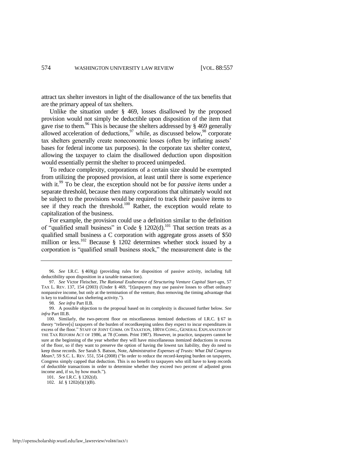attract tax shelter investors in light of the disallowance of the tax benefits that are the primary appeal of tax shelters.

<span id="page-18-0"></span>Unlike the situation under § 469, losses disallowed by the proposed provision would not simply be deductible upon disposition of the item that gave rise to them.<sup>96</sup> This is because the shelters addressed by  $\S$  469 generally allowed acceleration of deductions,  $97$  while, as discussed below,  $98$  corporate tax shelters generally create noneconomic losses (often by inflating assets' bases for federal income tax purposes). In the corporate tax shelter context, allowing the taxpayer to claim the disallowed deduction upon disposition would essentially permit the shelter to proceed unimpeded.

To reduce complexity, corporations of a certain size should be exempted from utilizing the proposed provision, at least until there is some experience with it.<sup>99</sup> To be clear, the exception should not be for *passive items* under a separate threshold, because then many corporations that ultimately would not be subject to the provisions would be required to track their passive items to see if they reach the threshold.<sup>100</sup> Rather, the exception would relate to capitalization of the business.

<span id="page-18-1"></span>For example, the provision could use a definition similar to the definition of "qualified small business" in Code § 1202(d).<sup>101</sup> That section treats as a qualified small business a C corporation with aggregate gross assets of \$50 million or less.<sup>102</sup> Because § 1202 determines whether stock issued by a corporation is "qualified small business stock," the measurement date is the

101. *See* I.R.C. § 1202(d).

<sup>96.</sup> *See* I.R.C. § 469(g) (providing rules for disposition of passive activity, including full deductibility upon disposition in a taxable transaction).

<sup>97.</sup> *See* Victor Fleischer, *The Rational Exuberance of Structuring Venture Capital Start-ups*, 57 TAX L. REV. 137, 154 (2003) (Under § 469, "[t]axpayers may use passive losses to offset ordinary nonpassive income, but only at the termination of the venture, thus removing the timing advantage that is key to traditional tax sheltering activity.").

<sup>98.</sup> *See infra* Part II.B.

<sup>99.</sup> A possible objection to the proposal based on its complexity is discussed further below. *See infra* Part III.B.

<sup>100.</sup> Similarly, the two-percent floor on miscellaneous itemized deductions of I.R.C. § 67 in theory "relieve[s] taxpayers of the burden of recordkeeping unless they expect to incur expenditures in excess of the floor.‖ STAFF OF JOINT COMM. ON TAXATION, 100TH CONG., GENERAL EXPLANATION OF THE TAX REFORM ACT OF 1986, at 78 (Comm. Print 1987). However, in practice, taxpayers cannot be sure at the beginning of the year whether they will have miscellaneous itemized deductions in excess of the floor, so if they want to preserve the option of having the lowest tax liability, they do need to keep those records. *See* Sarah S. Batson, Note, *Administrative Expenses of Trusts: What Did Congress Mean?*, 59 S.C. L. REV. 551, 554 (2008) ("In order to reduce the record-keeping burden on taxpayers, Congress simply capped that deduction. This is no benefit to taxpayers who still have to keep records of deductible transactions in order to determine whether they exceed two percent of adjusted gross income and, if so, by how much.").

<sup>102.</sup> *Id.* § 1202(d)(1)(B).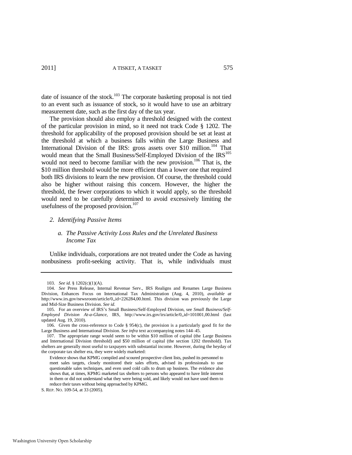date of issuance of the stock.<sup>103</sup> The corporate basketing proposal is not tied to an event such as issuance of stock, so it would have to use an arbitrary measurement date, such as the first day of the tax year.

The provision should also employ a threshold designed with the context of the particular provision in mind, so it need not track Code § 1202. The threshold for applicability of the proposed provision should be set at least at the threshold at which a business falls within the Large Business and International Division of the IRS: gross assets over \$10 million.<sup>104</sup> That would mean that the Small Business/Self-Employed Division of the IRS<sup>105</sup> would not need to become familiar with the new provision.<sup>106</sup> That is, the \$10 million threshold would be more efficient than a lower one that required both IRS divisions to learn the new provision. Of course, the threshold could also be higher without raising this concern. However, the higher the threshold, the fewer corporations to which it would apply, so the threshold would need to be carefully determined to avoid excessively limiting the usefulness of the proposed provision.<sup>107</sup>

#### *2. Identifying Passive Items*

#### *a. The Passive Activity Loss Rules and the Unrelated Business Income Tax*

Unlike individuals, corporations are not treated under the Code as having nonbusiness profit-seeking activity. That is, while individuals must

<sup>103.</sup> *See id.* § 1202(c)(1)(A).

<sup>104.</sup> *See* Press Release, Internal Revenue Serv., IRS Realigns and Renames Large Business Division, Enhances Focus on International Tax Administration (Aug. 4, 2010), *available at* http://www.irs.gov/newsroom/article/0,,id=226284,00.html. This division was previously the Large and Mid-Size Business Division. *See id.*

<sup>105.</sup> For an overview of IRS's Small Business/Self-Employed Division, see *Small Business/Self-Employed Division At-a-Glance*, IRS, http://www.irs.gov/irs/article/0,,id=101001,00.html (last updated Aug. 19, 2010).

<sup>106.</sup> Given the cross-reference to Code § 954(c), the provision is a particularly good fit for the Large Business and International Division. *See infra* text accompanying note[s 144–](#page-23-0)45.

<sup>107.</sup> The appropriate range would seem to be within \$10 million of capital (the Large Business and International Division threshold) and \$50 million of capital (the section 1202 threshold). Tax shelters are generally most useful to taxpayers with substantial income. However, during the heyday of the corporate tax shelter era, they were widely marketed:

Evidence shows that KPMG compiled and scoured prospective client lists, pushed its personnel to meet sales targets, closely monitored their sales efforts, advised its professionals to use questionable sales techniques, and even used cold calls to drum up business. The evidence also shows that, at times, KPMG marketed tax shelters to persons who appeared to have little interest in them or did not understand what they were being sold, and likely would not have used them to reduce their taxes without being approached by KPMG.

S. REP. NO. 109-54, at 33 (2005).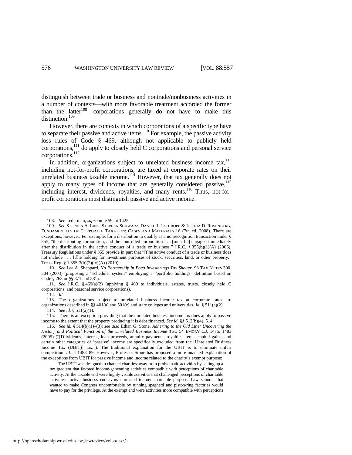<span id="page-20-1"></span>distinguish between trade or business and nontrade/nonbusiness activities in a number of contexts—with more favorable treatment accorded the former than the latter<sup>108</sup>—corporations generally do not have to make this distinction.<sup>109</sup>

<span id="page-20-0"></span>However, there are contexts in which corporations of a specific type have to separate their passive and active items.<sup>110</sup> For example, the passive activity loss rules of Code § 469, although not applicable to publicly held corporations,<sup>111</sup> do apply to closely held C corporations and personal service corporations.<sup>112</sup>

In addition, organizations subject to unrelated business income  $tax$ ,  $^{113}$ including not-for-profit corporations, are taxed at corporate rates on their unrelated business taxable income.<sup>114</sup> However, that tax generally does not apply to many types of income that are generally considered passive,<sup>115</sup> including interest, dividends, royalties, and many rents.<sup>116</sup> Thus, not-forprofit corporations must distinguish passive and active income.

110. *See* Lee A. Sheppard, *No Partnership in Boca Investerings Tax Shelter*, 98 TAX NOTES 300, 304 (2003) (proposing a "scheduler system" employing a "portfolio holdings" definition based on Code § 263 or §§ 871 and 881).

111. *See* I.R.C. § 469(a)(2) (applying § 469 to individuals, estates, trusts, closely held C corporations, and personal service corporations).

112. *Id.* 

113. The organizations subject to unrelated business income tax at corporate rates are organizations described in §§ 401(a) and 501(c) and state colleges and universities. *Id.* § 511(a)(2). 114. *See id.* § 511(a)(1).

115. There is an exception providing that the unrelated business income tax does apply to passive income to the extent that the property producing it is debt financed. *See id.* §§ 512(b)(4), 514.

 The UBIT was designed to channel charities away from problematic activities by setting up a tax gradient that favored income-generating activities compatible with perceptions of charitable activity. At the taxable end were highly visible activities that challenged perceptions of charitable activities—active business endeavors unrelated to any charitable purpose. Law schools that wanted to make Congress uncomfortable by running spaghetti and piston-ring factories would have to pay for the privilege. At the exempt end were activities more compatible with perceptions

<sup>108.</sup> *See* Lederman, *supra* note [59,](#page-12-2) at 1425.

<sup>109.</sup> *See* STEPHEN A. LIND, STEPHEN SCHWARZ, DANIEL J. LATHROPE & JOSHUA D. ROSENBERG, FUNDAMENTALS OF CORPORATE TAXATION: CASES AND MATERIALS 16 (7th ed. 2008). There are exceptions, however. For example, for a distribution to qualify as a nonrecognition transaction under § 355, "the distributing corporation, and the controlled corporation . . . [must be] engaged immediately after the distribution in the active conduct of a trade or business." I.R.C.  $\S 355(b)(1)(A)$  (2006). Treasury Regulations under § 355 provide in part that "[t]he active conduct of a trade or business does not include . . . [t]he holding for investment purposes of stock, securities, land, or other property.' Treas. Reg. § 1.355-3(b)(2)(iv)(A) (2010).

<sup>116.</sup> *See id.* § 514(b)(1)–(3); *see also* Ethan G. Stone, *Adhering to the Old Line: Uncovering the History and Political Function of the Unrelated Business Income Tax*, 54 EMORY L.J. 1475, 1483 (2005) ("D]ividends, interest, loan proceeds, annuity payments, royalties, rents, capital gains, and certain other categories of 'passive' income are specifically excluded from the [Unrelated Business Income Tax (UBIT)] tax."). The traditional explanation for the UBIT is to eliminate unfair competition. *Id.* at 1488–89. However, Professor Stone has proposed a more nuanced explanation of the exceptions from UBIT for passive income and income related to the charity's exempt purpose: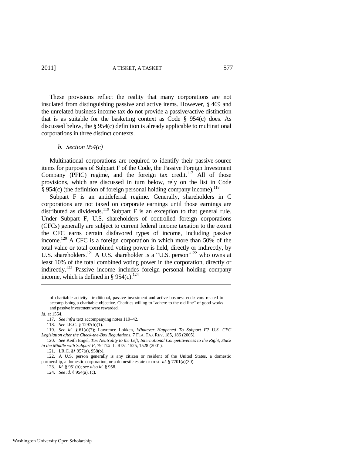These provisions reflect the reality that many corporations are not insulated from distinguishing passive and active items. However, § 469 and the unrelated business income tax do not provide a passive/active distinction that is as suitable for the basketing context as Code  $\S$  954(c) does. As discussed below, the § 954(c) definition is already applicable to multinational corporations in three distinct contexts.

#### <span id="page-21-2"></span><span id="page-21-1"></span>*b. Section 954(c)*

Multinational corporations are required to identify their passive-source items for purposes of Subpart F of the Code, the Passive Foreign Investment Company (PFIC) regime, and the foreign tax credit.<sup>117</sup> All of those provisions, which are discussed in turn below, rely on the list in Code  $\hat{\S}$  954(c) (the definition of foreign personal holding company income).<sup>118</sup>

<span id="page-21-0"></span>Subpart F is an antideferral regime. Generally, shareholders in C corporations are not taxed on corporate earnings until those earnings are distributed as dividends.<sup>119</sup> Subpart F is an exception to that general rule. Under Subpart F, U.S. shareholders of controlled foreign corporations (CFCs) generally are subject to current federal income taxation to the extent the CFC earns certain disfavored types of income, including passive income.<sup>120</sup> A CFC is a foreign corporation in which more than 50% of the total value or total combined voting power is held, directly or indirectly, by U.S. shareholders.<sup>121</sup> A U.S. shareholder is a "U.S. person"<sup>122</sup> who owns at least 10% of the total combined voting power in the corporation, directly or indirectly.<sup>123</sup> Passive income includes foreign personal holding company income, which is defined in § 954(c).<sup>124</sup>

of charitable activity—traditional, passive investment and active business endeavors related to accomplishing a charitable objective. Charities willing to "adhere to the old line" of good works and passive investment were rewarded.

*Id.* at 1554.

l

123. *Id.* § 951(b); *see also id.* § 958.

124. *See id.* § 954(a), (c).

<sup>117.</sup> *See infra* text accompanying note[s 119–](#page-21-0)42.

<sup>118.</sup> *See* I.R.C. § 1297(b)(1).

<sup>119.</sup> *See id.* § 61(a)(7); Lawrence Lokken, *Whatever Happened To Subpart F? U.S. CFC Legislation after the Check-the-Box Regulations*, 7 FLA. TAX REV. 185, 186 (2005).

<sup>120.</sup> *See* Keith Engel, *Tax Neutrality to the Left, International Competitiveness to the Right, Stuck in the Middle with Subpart F*, 79 TEX. L. REV. 1525, 1528 (2001).

<sup>121.</sup> I.R.C. §§ 957(a), 958(b).

<sup>122.</sup> A U.S. person generally is any citizen or resident of the United States, a domestic partnership, a domestic corporation, or a domestic estate or trust. *Id.* § 7701(a)(30).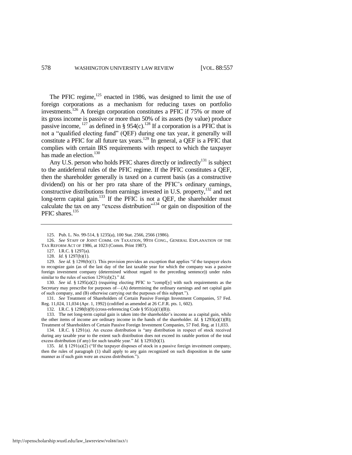<span id="page-22-0"></span>The PFIC regime, $125$  enacted in 1986, was designed to limit the use of foreign corporations as a mechanism for reducing taxes on portfolio investments.<sup>126</sup> A foreign corporation constitutes a PFIC if 75% or more of its gross income is passive or more than 50% of its assets (by value) produce passive income,  $127$  as defined in § 954(c).<sup>128</sup> If a corporation is a PFIC that is not a "qualified electing fund" (OEF) during one tax year, it generally will constitute a PFIC for all future tax years.<sup>129</sup> In general, a OEF is a PFIC that complies with certain IRS requirements with respect to which the taxpayer has made an election.<sup>130</sup>

Any U.S. person who holds PFIC shares directly or indirectly<sup>131</sup> is subject to the antideferral rules of the PFIC regime. If the PFIC constitutes a QEF, then the shareholder generally is taxed on a current basis (as a constructive dividend) on his or her pro rata share of the PFIC's ordinary earnings, constructive distributions from earnings invested in U.S. property,<sup>132</sup> and net long-term capital gain.<sup>133</sup> If the PFIC is not a QEF, the shareholder must calculate the tax on any "excess distribution"<sup>134</sup> or gain on disposition of the PFIC shares.<sup>135</sup>

130. *See id.* § 1295(a)(2) (requiring electing PFIC to "compl[y] with such requirements as the Secretary may prescribe for purposes of—(A) determining the ordinary earnings and net capital gain of such company, and (B) otherwise carrying out the purposes of this subpart.").

131. *See* Treatment of Shareholders of Certain Passive Foreign Investment Companies, 57 Fed. Reg. 11,024, 11,034 (Apr. 1, 1992) (codified as amended at 26 C.F.R. pts. 1, 602).

132. I.R.C. § 1298(b)(9) (cross-referencing Code § 951(a)(1)(B)).

133. The net long-term capital gain is taken into the shareholder's income as a capital gain, while the other items of income are ordinary income in the hands of the shareholder. *Id.* § 1293(a)(1)(B); Treatment of Shareholders of Certain Passive Foreign Investment Companies, 57 Fed. Reg. at 11,033.

134. I.R.C. § 1291(a). An excess distribution is "any distribution in respect of stock received during any taxable year to the extent such distribution does not exceed its ratable portion of the total excess distribution (if any) for such taxable year." *Id.* § 1291(b)(1).

135. *Id.* § 1291(a)(2) ("If the taxpayer disposes of stock in a passive foreign investment company, then the rules of paragraph (1) shall apply to any gain recognized on such disposition in the same manner as if such gain were an excess distribution.").

<sup>125.</sup> Pub. L. No. 99-514, § 1235(a), 100 Stat. 2566, 2566 (1986).

<sup>126.</sup> *See* STAFF OF JOINT COMM. ON TAXATION, 99TH CONG., GENERAL EXPLANATION OF THE TAX REFORM ACT OF 1986, at 1023 (Comm. Print 1987).

<sup>127.</sup> I.R.C. § 1297(a).

<sup>128.</sup> *Id.* § 1297(b)(1).

<sup>129.</sup> *See id.* § 1298(b)(1). This provision provides an exception that applies "if the taxpayer elects to recognize gain (as of the last day of the last taxable year for which the company was a passive foreign investment company (determined without regard to the preceding sentence)) under rules similar to the rules of section  $1291(d)(2)$ ." *Id.*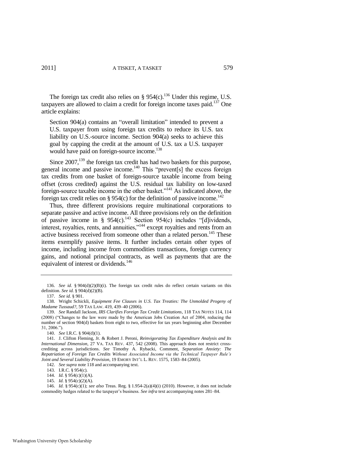The foreign tax credit also relies on  $\S 954(c)$ .<sup>136</sup> Under this regime, U.S. taxpayers are allowed to claim a credit for foreign income taxes paid.<sup>137</sup> One article explains:

<span id="page-23-1"></span>Section 904(a) contains an "overall limitation" intended to prevent a U.S. taxpayer from using foreign tax credits to reduce its U.S. tax liability on U.S.-source income. Section 904(a) seeks to achieve this goal by capping the credit at the amount of U.S. tax a U.S. taxpayer would have paid on foreign-source income.<sup>138</sup>

<span id="page-23-2"></span>Since  $2007$ ,<sup>139</sup> the foreign tax credit has had two baskets for this purpose, general income and passive income.<sup>140</sup> This "prevent[s] the excess foreign tax credits from one basket of foreign-source taxable income from being offset (cross credited) against the U.S. residual tax liability on low-taxed foreign-source taxable income in the other basket."<sup>141</sup> As indicated above, the foreign tax credit relies on § 954(c) for the definition of passive income.<sup>142</sup>

<span id="page-23-0"></span>Thus, three different provisions require multinational corporations to separate passive and active income. All three provisions rely on the definition of passive income in § 954(c).<sup>143</sup> Section 954(c) includes "[d]ividends, interest, royalties, rents, and annuities,"<sup>144</sup> except royalties and rents from an active business received from someone other than a related person.<sup>145</sup> These items exemplify passive items. It further includes certain other types of income, including income from commodities transactions, foreign currency gains, and notional principal contracts, as well as payments that are the equivalent of interest or dividends.<sup>146</sup>

<sup>136.</sup> *See id.* § 904(d)(2)(B)(i). The foreign tax credit rules do reflect certain variants on this definition. *See id.* § 904(d)(2)(B).

<sup>137.</sup> *See id.* § 901.

<sup>138.</sup> Wright Schickli, *Equipment Fee Clauses in U.S. Tax Treaties: The Unmolded Progeny of Madame Tussaud?*, 59 TAX LAW. 419, 439–40 (2006).

<sup>139.</sup> *See* Randall Jackson, *IRS Clarifies Foreign Tax Credit Limitations*, 118 TAX NOTES 114, 114 (2008) ("Changes to the law were made by the American Jobs Creation Act of 2004, reducing the number of section 904(d) baskets from eight to two, effective for tax years beginning after December  $31, 2006."$ ).

<sup>140.</sup> *See* I.R.C. § 904(d)(1).

<sup>141.</sup> J. Clifton Fleming, Jr. & Robert J. Peroni, *Reinvigorating Tax Expenditure Analysis and Its International Dimension*, 27 VA. TAX REV. 437, 542 (2008). This approach does not restrict crosscrediting across jurisdictions. *See* Timothy A. Rybacki, Comment, *Separation Anxiety: The Repatriation of Foreign Tax Credits Without Associated Income via the Technical Taxpayer Rule's Joint and Several Liability Provision*, 19 EMORY INT'L L. REV. 1575, 1583–84 (2005).

<sup>142.</sup> *See supra* not[e 118 a](#page-21-1)nd accompanying text.

<sup>143.</sup> I.R.C. § 954(c).

<sup>144.</sup> *Id.* § 954(c)(1)(A).

<sup>145.</sup> *Id.* § 954(c)(2)(A).

<sup>146.</sup> *Id.* § 954(c)(1); *see also* Treas. Reg. § 1.954-2(a)(4)(i) (2010). However, it does not include commodity hedges related to the taxpayer's business. *See infra* text accompanying note[s 281–](#page-44-0)84.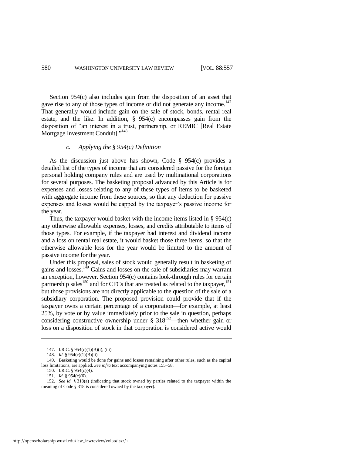Section 954(c) also includes gain from the disposition of an asset that gave rise to any of those types of income or did not generate any income.<sup>147</sup> That generally would include gain on the sale of stock, bonds, rental real estate, and the like. In addition, § 954(c) encompasses gain from the disposition of "an interest in a trust, partnership, or REMIC [Real Estate Mortgage Investment Conduit]."<sup>148</sup>

#### *c. Applying the § 954(c) Definition*

As the discussion just above has shown, Code § 954(c) provides a detailed list of the types of income that are considered passive for the foreign personal holding company rules and are used by multinational corporations for several purposes. The basketing proposal advanced by this Article is for expenses and losses relating to any of these types of items to be basketed with aggregate income from these sources, so that any deduction for passive expenses and losses would be capped by the taxpayer's passive income for the year.

Thus, the taxpayer would basket with the income items listed in  $\S 954(c)$ any otherwise allowable expenses, losses, and credits attributable to items of those types. For example, if the taxpayer had interest and dividend income and a loss on rental real estate, it would basket those three items, so that the otherwise allowable loss for the year would be limited to the amount of passive income for the year.

Under this proposal, sales of stock would generally result in basketing of gains and losses.<sup>149</sup> Gains and losses on the sale of subsidiaries may warrant an exception, however. Section 954(c) contains look-through rules for certain partnership sales<sup>150</sup> and for CFCs that are treated as related to the taxpayer,<sup>151</sup> but those provisions are not directly applicable to the question of the sale of a subsidiary corporation. The proposed provision could provide that if the taxpayer owns a certain percentage of a corporation—for example, at least 25%, by vote or by value immediately prior to the sale in question, perhaps considering constructive ownership under  $\S 318^{152}$ —then whether gain or loss on a disposition of stock in that corporation is considered active would

<span id="page-24-0"></span><sup>147.</sup> I.R.C. § 954(c)(1)(B)(i), (iii).

<sup>148.</sup> *Id.* § 954(c)(1)(B)(ii).

<sup>149.</sup> Basketing would be done for gains and losses remaining after other rules, such as the capital loss limitations, are applied. *See infra* text accompanying note[s 155–](#page-25-0)58.

<sup>150.</sup> I.R.C. § 954(c)(4).

<sup>151.</sup> *Id.* § 954(c)(6).

<sup>152.</sup> *See id.* § 318(a) (indicating that stock owned by parties related to the taxpayer within the meaning of Code § 318 is considered owned by the taxpayer).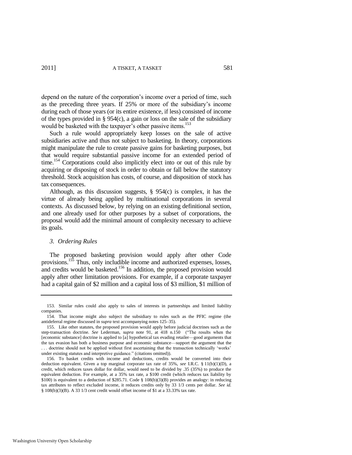depend on the nature of the corporation's income over a period of time, such as the preceding three years. If 25% or more of the subsidiary's income during each of those years (or its entire existence, if less) consisted of income of the types provided in § 954(c), a gain or loss on the sale of the subsidiary would be basketed with the taxpayer's other passive items.<sup>153</sup>

Such a rule would appropriately keep losses on the sale of active subsidiaries active and thus not subject to basketing. In theory, corporations might manipulate the rule to create passive gains for basketing purposes, but that would require substantial passive income for an extended period of time.<sup>154</sup> Corporations could also implicitly elect into or out of this rule by acquiring or disposing of stock in order to obtain or fall below the statutory threshold. Stock acquisition has costs, of course, and disposition of stock has tax consequences.

Although, as this discussion suggests, § 954(c) is complex, it has the virtue of already being applied by multinational corporations in several contexts. As discussed below, by relying on an existing definitional section, and one already used for other purposes by a subset of corporations, the proposal would add the minimal amount of complexity necessary to achieve its goals.

#### <span id="page-25-1"></span>*3. Ordering Rules*

<span id="page-25-0"></span>The proposed basketing provision would apply after other Code provisions.<sup>155</sup> Thus, only includible income and authorized expenses, losses, and credits would be basketed.<sup>156</sup> In addition, the proposed provision would apply after other limitation provisions. For example, if a corporate taxpayer had a capital gain of \$2 million and a capital loss of \$3 million, \$1 million of

<sup>153.</sup> Similar rules could also apply to sales of interests in partnerships and limited liability companies.

<sup>154.</sup> That income might also subject the subsidiary to rules such as the PFIC regime (the antideferral regime discussed in *supra* text accompanying note[s 125–](#page-22-0)35).

<sup>155.</sup> Like other statutes, the proposed provision would apply before judicial doctrines such as the step-transaction doctrine. *See* Lederman, *supra* note [91,](#page-16-0) at 418 n.150 ("The results when the [economic substance] doctrine is applied to [a] hypothetical tax evading retailer—good arguments that the tax evasion has both a business purpose and economic substance—support the argument that the ... doctrine should not be applied without first ascertaining that the transaction technically 'works' under existing statutes and interpretive guidance." (citations omitted)).

<sup>156.</sup> To basket credits with income and deductions, credits would be converted into their deduction equivalent. Given a top marginal corporate tax rate of 35%, *see* I.R.C. § 11(b)(1)(D), a credit, which reduces taxes dollar for dollar, would need to be divided by .35 (35%) to produce the equivalent deduction. For example, at a 35% tax rate, a \$100 credit (which reduces tax liability by \$100) is equivalent to a deduction of \$285.71. Code § 108(b)(3)(B) provides an analogy: in reducing tax attributes to reflect excluded income, it reduces credits only by 33 1/3 cents per dollar. *See id.*  § 108(b)(3)(B). A 33 1/3 cent credit would offset income of \$1 at a 33.33% tax rate.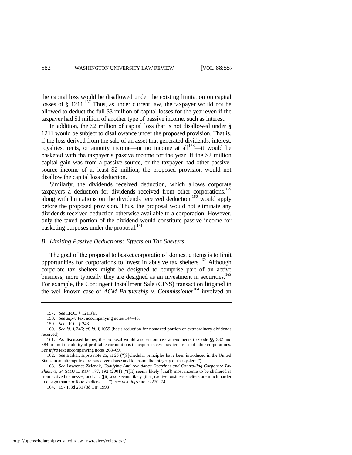the capital loss would be disallowed under the existing limitation on capital losses of  $\S$  1211.<sup>157</sup> Thus, as under current law, the taxpayer would not be allowed to deduct the full \$3 million of capital losses for the year even if the taxpayer had \$1 million of another type of passive income, such as interest.

In addition, the \$2 million of capital loss that is not disallowed under § 1211 would be subject to disallowance under the proposed provision. That is, if the loss derived from the sale of an asset that generated dividends, interest, royalties, rents, or annuity income—or no income at all<sup>158</sup>—it would be basketed with the taxpayer's passive income for the year. If the \$2 million capital gain was from a passive source, or the taxpayer had other passivesource income of at least \$2 million, the proposed provision would not disallow the capital loss deduction.

Similarly, the dividends received deduction, which allows corporate taxpayers a deduction for dividends received from other corporations,<sup>159</sup> along with limitations on the dividends received deduction,<sup>160</sup> would apply before the proposed provision. Thus, the proposal would not eliminate any dividends received deduction otherwise available to a corporation. However, only the taxed portion of the dividend would constitute passive income for basketing purposes under the proposal.<sup>161</sup>

#### *B. Limiting Passive Deductions: Effects on Tax Shelters*

<span id="page-26-1"></span>The goal of the proposal to basket corporations' domestic items is to limit opportunities for corporations to invest in abusive tax shelters.<sup>162</sup> Although corporate tax shelters might be designed to comprise part of an active business, more typically they are designed as an investment in securities.<sup>163</sup> For example, the Contingent Installment Sale (CINS) transaction litigated in the well-known case of *ACM Partnership v. Commissioner*<sup>164</sup> involved an

<span id="page-26-0"></span><sup>157.</sup> *See* I.R.C. § 1211(a).

<sup>158.</sup> *See supra* text accompanying note[s 144–](#page-23-0)48.

<sup>159.</sup> *See* I.R.C. § 243.

<sup>160.</sup> *See id.* § 246; *cf. id.* § 1059 (basis reduction for nontaxed portion of extraordinary dividends received).

<sup>161.</sup> As discussed below, the proposal would also encompass amendments to Code §§ 382 and 384 to limit the ability of profitable corporations to acquire excess passive losses of other corporations. *See infra* text accompanying note[s 268–](#page-42-0)69.

<sup>162.</sup> *See* Barker, *supra* not[e 25,](#page-7-0) at 25 ("[S]chedular principles have been introduced in the United States in an attempt to cure perceived abuse and to ensure the integrity of the system.").

<sup>163.</sup> *See* Lawrence Zelenak, *Codifying Anti-Avoidance Doctrines and Controlling Corporate Tax Shelters*, 54 SMU L. REV. 177, 192 (2001) (" $[It]$  seems likely [that]) most income to be sheltered is from active businesses, and . . . ([it] also seems likely [that]) active business shelters are much harder to design than portfolio shelters . . . ."); see also infra notes 270-74.

<sup>164. 157</sup> F.3d 231 (3d Cir. 1998).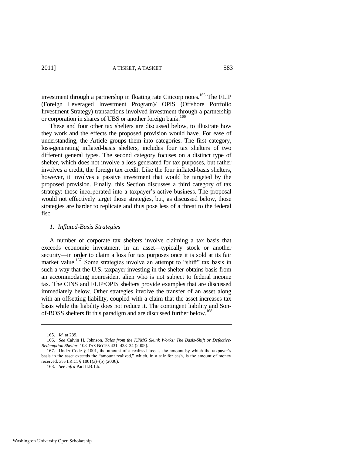investment through a partnership in floating rate Citicorp notes.<sup>165</sup> The FLIP (Foreign Leveraged Investment Program)/ OPIS (Offshore Portfolio Investment Strategy) transactions involved investment through a partnership or corporation in shares of UBS or another foreign bank.<sup>166</sup>

<span id="page-27-0"></span>These and four other tax shelters are discussed below, to illustrate how they work and the effects the proposed provision would have. For ease of understanding, the Article groups them into categories. The first category, loss-generating inflated-basis shelters, includes four tax shelters of two different general types. The second category focuses on a distinct type of shelter, which does not involve a loss generated for tax purposes, but rather involves a credit, the foreign tax credit. Like the four inflated-basis shelters, however, it involves a passive investment that would be targeted by the proposed provision. Finally, this Section discusses a third category of tax strategy: those incorporated into a taxpayer's active business. The proposal would not effectively target those strategies, but, as discussed below, those strategies are harder to replicate and thus pose less of a threat to the federal fisc.

#### *1. Inflated-Basis Strategies*

A number of corporate tax shelters involve claiming a tax basis that exceeds economic investment in an asset—typically stock or another security—in order to claim a loss for tax purposes once it is sold at its fair market value.<sup>167</sup> Some strategies involve an attempt to "shift" tax basis in such a way that the U.S. taxpayer investing in the shelter obtains basis from an accommodating nonresident alien who is not subject to federal income tax. The CINS and FLIP/OPIS shelters provide examples that are discussed immediately below. Other strategies involve the transfer of an asset along with an offsetting liability, coupled with a claim that the asset increases tax basis while the liability does not reduce it. The contingent liability and Sonof-BOSS shelters fit this paradigm and are discussed further below.<sup>168</sup>

<sup>165.</sup> *Id.* at 239.

<sup>166.</sup> *See* Calvin H. Johnson, *Tales from the KPMG Skunk Works: The Basis-Shift or Defective-Redemption Shelter*, 108 TAX NOTES 431, 433–34 (2005).

<sup>167.</sup> Under Code § 1001, the amount of a realized loss is the amount by which the taxpayer's basis in the asset exceeds the "amount realized," which, in a sale for cash, is the amount of money received. *See* I.R.C. § 1001(a)–(b) (2006).

<sup>168.</sup> *See infra* Part II.B.1.b.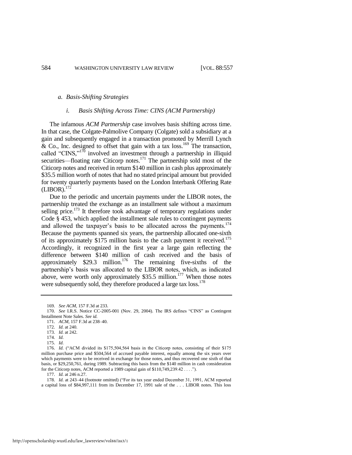#### *a. Basis-Shifting Strategies*

#### <span id="page-28-0"></span>*i. Basis Shifting Across Time: CINS (ACM Partnership)*

The infamous *ACM Partnership* case involves basis shifting across time. In that case, the Colgate-Palmolive Company (Colgate) sold a subsidiary at a gain and subsequently engaged in a transaction promoted by Merrill Lynch  $\&$  Co., Inc. designed to offset that gain with a tax loss.<sup>169</sup> The transaction, called "CINS," $170$  involved an investment through a partnership in illiquid securities—floating rate Citicorp notes.<sup>171</sup> The partnership sold most of the Citicorp notes and received in return \$140 million in cash plus approximately \$35.5 million worth of notes that had no stated principal amount but provided for twenty quarterly payments based on the London Interbank Offering Rate  $(LIBOR).$ <sup>1</sup>

Due to the periodic and uncertain payments under the LIBOR notes, the partnership treated the exchange as an installment sale without a maximum selling price.<sup>173</sup> It therefore took advantage of temporary regulations under Code § 453, which applied the installment sale rules to contingent payments and allowed the taxpayer's basis to be allocated across the payments.<sup>174</sup> Because the payments spanned six years, the partnership allocated one-sixth of its approximately \$175 million basis to the cash payment it received.<sup>175</sup> Accordingly, it recognized in the first year a large gain reflecting the difference between \$140 million of cash received and the basis of approximately  $$29.3$  million.<sup>176</sup> The remaining five-sixths of the partnership's basis was allocated to the LIBOR notes, which, as indicated above, were worth only approximately  $$35.5$  million.<sup>177</sup> When those notes were subsequently sold, they therefore produced a large tax loss.<sup>178</sup>

<sup>169.</sup> *See ACM*, 157 F.3d at 233.

<sup>170.</sup> *See I.R.S.* Notice CC-2005-001 (Nov. 29, 2004). The IRS defines "CINS" as Contingent Installment Note Sales. *See id.*

<sup>171.</sup> *ACM*, 157 F.3d at 238–40.

<sup>172.</sup> *Id.* at 240.

<sup>173.</sup> *Id.* at 242.

<sup>174.</sup> *Id.*

<sup>175.</sup> *Id.*

<sup>176.</sup> *Id.* ("ACM divided its \$175,504,564 basis in the Citicorp notes, consisting of their \$175 million purchase price and \$504,564 of accrued payable interest, equally among the six years over which payments were to be received in exchange for those notes, and thus recovered one sixth of that basis, or \$29,250,761, during 1989. Subtracting this basis from the \$140 million in cash consideration for the Citicorp notes, ACM reported a 1989 capital gain of  $$110,749,239.42...$ ....

<sup>177.</sup> *Id.* at 246 n.27.

<sup>178.</sup> *Id.* at 243-44 (footnote omitted) ("For its tax year ended December 31, 1991, ACM reported a capital loss of \$84,997,111 from its December 17, 1991 sale of the . . . LIBOR notes. This loss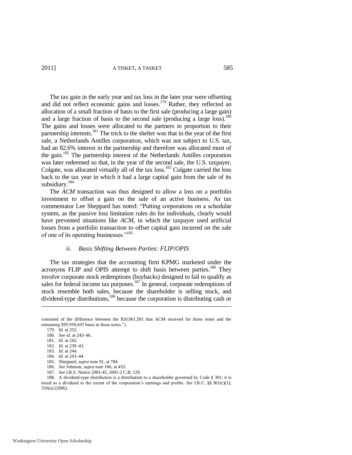2011] A TISKET, A TASKET 585

The tax gain in the early year and tax loss in the later year were offsetting and did not reflect economic gains and losses.<sup>179</sup> Rather, they reflected an allocation of a small fraction of basis to the first sale (producing a large gain) and a large fraction of basis to the second sale (producing a large loss).<sup>180</sup> The gains and losses were allocated to the partners in proportion to their partnership interests.<sup>181</sup> The trick to the shelter was that in the year of the first sale, a Netherlands Antilles corporation, which was not subject to U.S. tax, had an 82.6% interest in the partnership and therefore was allocated most of the gain.<sup>182</sup> The partnership interest of the Netherlands Antilles corporation was later redeemed so that, in the year of the second sale, the U.S. taxpayer, Colgate, was allocated virtually all of the tax loss.<sup>183</sup> Colgate carried the loss back to the tax year in which it had a large capital gain from the sale of its subsidiary.<sup>184</sup>

The *ACM* transaction was thus designed to allow a loss on a portfolio investment to offset a gain on the sale of an active business. As tax commentator Lee Sheppard has noted: "Putting corporations on a schedular system, as the passive loss limitation rules do for individuals, clearly would have prevented situations like *ACM*, in which the taxpayer used artificial losses from a portfolio transaction to offset capital gain incurred on the sale of one of its operating businesses."<sup>185</sup>

#### *ii. Basis Shifting Between Parties: FLIP/OPIS*

The tax strategies that the accounting firm KPMG marketed under the acronyms FLIP and OPIS attempt to shift basis between parties.<sup>186</sup> They involve corporate stock redemptions (buybacks) designed to fail to qualify as sales for federal income tax purposes.<sup>187</sup> In general, corporate redemptions of stock resemble both sales, because the shareholder is selling stock, and dividend-type distributions,<sup>188</sup> because the corporation is distributing cash or

 $\overline{\phantom{a}}$ 

- 186. *See* Johnson, *supra* not[e 166,](#page-27-0) at 433.
- 187. *See* I.R.S. Notice 2001-45, 2001-2 C.B. 129.

188. A dividend-type distribution is a distribution to a shareholder governed by Code § 301; it is taxed as a dividend to the extent of the corporation's earnings and profits. *See* I.R.C. §§ 301(c)(1), 316(a) (2006).

consisted of the difference between the \$10,961,581 that ACM received for those notes and the remaining \$95,958,692 basis in those notes.").

<sup>179.</sup> *Id.* at 252.

<sup>180.</sup> *See id.* at 243–46.

<sup>181.</sup> *Id.* at 242.

<sup>182.</sup> *Id.* at 239–43.

<sup>183.</sup> *Id.* at 244.

<sup>184.</sup> *Id.* at 243–44.

<sup>185.</sup> Sheppard, *supra* not[e 91,](#page-16-0) at 784.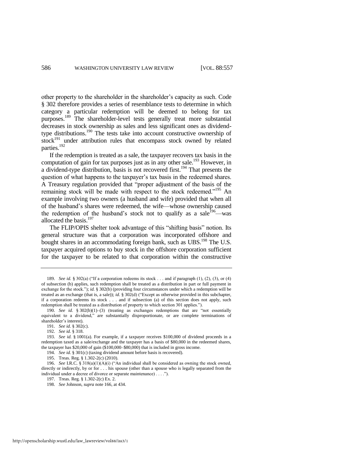other property to the shareholder in the shareholder's capacity as such. Code § 302 therefore provides a series of resemblance tests to determine in which category a particular redemption will be deemed to belong for tax purposes.<sup>189</sup> The shareholder-level tests generally treat more substantial decreases in stock ownership as sales and less significant ones as dividendtype distributions.<sup>190</sup> The tests take into account constructive ownership of  $stock<sup>191</sup>$  under attribution rules that encompass stock owned by related parties.<sup>192</sup>

If the redemption is treated as a sale, the taxpayer recovers tax basis in the computation of gain for tax purposes just as in any other sale.<sup>193</sup> However, in a dividend-type distribution, basis is not recovered first.<sup>194</sup> That presents the question of what happens to the taxpayer's tax basis in the redeemed shares. A Treasury regulation provided that "proper adjustment of the basis of the remaining stock will be made with respect to the stock redeemed."<sup>195</sup> An example involving two owners (a husband and wife) provided that when all of the husband's shares were redeemed, the wife—whose ownership caused the redemption of the husband's stock not to qualify as a sale  $196$ —was allocated the basis.<sup>197</sup>

The FLIP/OPIS shelter took advantage of this "shifting basis" notion. Its general structure was that a corporation was incorporated offshore and bought shares in an accommodating foreign bank, such as  $UBS$ .<sup>198</sup> The U.S. taxpayer acquired options to buy stock in the offshore corporation sufficient for the taxpayer to be related to that corporation within the constructive

<sup>189.</sup> *See id.* § 302(a) ("If a corporation redeems its stock . . . and if paragraph  $(1)$ ,  $(2)$ ,  $(3)$ , or  $(4)$ of subsection (b) applies, such redemption shall be treated as a distribution in part or full payment in exchange for the stock."); *id.* § 302(b) (providing four circumstances under which a redemption will be treated as an exchange (that is, a sale)); *id.* § 302(d) ("Except as otherwise provided in this subchapter, if a corporation redeems its stock . . . and if subsection (a) of this section does not apply, such redemption shall be treated as a distribution of property to which section 301 applies.").

<sup>190.</sup> *See id.*  $§ 302(b)(1)–(3)$  (treating as exchanges redemptions that are "not essentially equivalent to a dividend," are substantially disproportionate, or are complete terminations of shareholder's interest).

<sup>191.</sup> *See id.* § 302(c).

<sup>192.</sup> *See id.* § 318.

<sup>193.</sup> *See id.* § 1001(a). For example, if a taxpayer receives \$100,000 of dividend proceeds in a redemption taxed as a sale/exchange and the taxpayer has a basis of \$80,000 in the redeemed shares, the taxpayer has \$20,000 of gain (\$100,000–\$80,000) that is included in gross income.

<sup>194.</sup> *See id.* § 301(c) (taxing dividend amount before basis is recovered).

<sup>195.</sup> Treas. Reg. § 1.302-2(c) (2010).

<sup>196.</sup> *See I.R.C.* § 318(a)(1)(A)(i) ("An individual shall be considered as owning the stock owned, directly or indirectly, by or for . . . his spouse (other than a spouse who is legally separated from the individual under a decree of divorce or separate maintenance) . . . .").

<sup>197.</sup> Treas. Reg. § 1.302-2(c) Ex. 2.

<sup>198.</sup> *See* Johnson, *supra* not[e 166,](#page-27-0) at 434.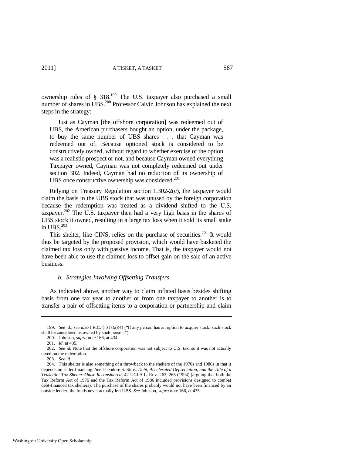ownership rules of  $\S$  318.<sup>199</sup> The U.S. taxpayer also purchased a small number of shares in UBS.<sup>200</sup> Professor Calvin Johnson has explained the next steps in the strategy:

 Just as Cayman [the offshore corporation] was redeemed out of UBS, the American purchasers bought an option, under the package, to buy the same number of UBS shares . . . that Cayman was redeemed out of. Because optioned stock is considered to be constructively owned, without regard to whether exercise of the option was a realistic prospect or not, and because Cayman owned everything Taxpayer owned, Cayman was not completely redeemed out under section 302. Indeed, Cayman had no reduction of its ownership of UBS once constructive ownership was considered.<sup>201</sup>

Relying on Treasury Regulation section 1.302-2(c), the taxpayer would claim the basis in the UBS stock that was unused by the foreign corporation because the redemption was treated as a dividend shifted to the U.S. taxpayer.<sup>202</sup> The U.S. taxpayer then had a very high basis in the shares of UBS stock it owned, resulting in a large tax loss when it sold its small stake in UBS. $203$ 

This shelter, like CINS, relies on the purchase of securities.<sup>204</sup> It would thus be targeted by the proposed provision, which would have basketed the claimed tax loss only with passive income. That is, the taxpayer would not have been able to use the claimed loss to offset gain on the sale of an active business.

#### *b. Strategies Involving Offsetting Transfers*

As indicated above, another way to claim inflated basis besides shifting basis from one tax year to another or from one taxpayer to another is to transfer a pair of offsetting items to a corporation or partnership and claim

<sup>199.</sup> *See id.*; *see also* I.R.C. § 318(a)(4) ("If any person has an option to acquire stock, such stock shall be considered as owned by such person.").

<sup>200.</sup> Johnson, *supra* not[e 166,](#page-27-0) at 434.

<sup>201.</sup> *Id.* at 435.

<sup>202.</sup> *See id.* Note that the offshore corporation was not subject to U.S. tax, so it was not actually taxed on the redemption.

<sup>203.</sup> *See id.*

<sup>204.</sup> This shelter is also something of a throwback to the shelters of the 1970s and 1980s in that it depends on seller financing. *See* Theodore S. Sims, *Debt, Accelerated Depreciation, and the Tale of a Teakettle: Tax Shelter Abuse Reconsidered*, 42 UCLA L. REV. 263, 265 (1994) (arguing that both the Tax Reform Act of 1976 and the Tax Reform Act of 1986 included provisions designed to combat debt-financed tax shelters). The purchase of the shares probably would not have been financed by an outside lender; the funds never actually left UBS. *See* Johnson, *supra* not[e 166,](#page-27-0) at 435.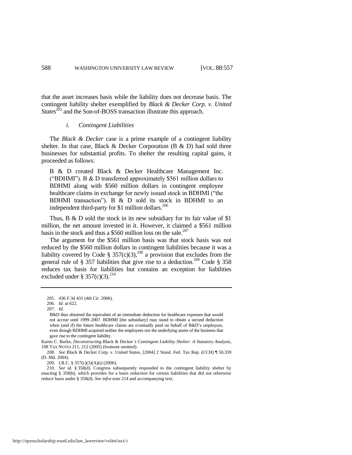that the asset increases basis while the liability does not decrease basis. The contingent liability shelter exemplified by *Black & Decker Corp. v. United States*<sup>205</sup> and the Son-of-BOSS transaction illustrate this approach.

#### *i. Contingent Liabilities*

The *Black & Decker* case is a prime example of a contingent liability shelter. In that case, Black  $\&$  Decker Corporation (B  $\&$  D) had sold three businesses for substantial profits. To shelter the resulting capital gains, it proceeded as follows:

B & D created Black & Decker Healthcare Management Inc. ("BDHMI"). B  $&$  D transferred approximately \$561 million dollars to BDHMI along with \$560 million dollars in contingent employee healthcare claims in exchange for newly issued stock in BDHMI ("the BDHMI transaction"). B  $\&$  D sold its stock in BDHMI to an independent third-party for \$1 million dollars.<sup>206</sup>

Thus, B & D sold the stock in its new subsidiary for its fair value of \$1 million, the net amount invested in it. However, it claimed a \$561 million basis in the stock and thus a \$560 million loss on the sale.<sup>207</sup>

The argument for the \$561 million basis was that stock basis was not reduced by the \$560 million dollars in contingent liabilities because it was a liability covered by Code § 357(c)(3),<sup>208</sup> a provision that excludes from the general rule of § 357 liabilities that give rise to a deduction.<sup>209</sup> Code § 358 reduces tax basis for liabilities but contains an exception for liabilities excluded under § 357(c)(3).<sup>210</sup>

209. I.R.C. § 357(c)(3)(A)(i) (2006).

210. *See id.* § 358(d). Congress subsequently responded to the contingent liability shelter by enacting § 358(h), which provides for a basis reduction for certain liabilities that did not otherwise reduce basis under § 358(d). *See infra* not[e 214 a](#page-33-0)nd accompanying text.

<sup>205. 436</sup> F.3d 431 (4th Cir. 2006).

<sup>206.</sup> *Id.* at 622.

<sup>207.</sup> *Id.* 

B&D thus obtained the equivalent of an immediate deduction for healthcare expenses that would not accrue until 1999–2007. BDHMI [the subsidiary] may stand to obtain a second deduction when (and if) the future healthcare claims are eventually paid on behalf of B&D's employees, even though BDHMI acquired neither the employees nor the underlying assets of the business that gave rise to the contingent liability.

Karen C. Burke, *Deconstructing* Black & Decker*'s Contingent Liability Shelter: A Statutory Analysis*, 108 TAX NOTES 211, 212 (2005) (footnote omitted).

<sup>208.</sup> *See* Black & Decker Corp. v. United States, [2004] 2 Stand. Fed. Tax Rep. (CCH) ¶ 50,359 (D. Md. 2004).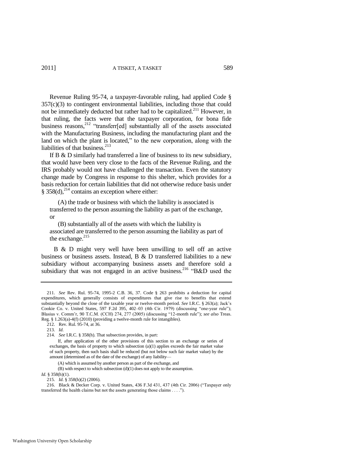Revenue Ruling 95-74, a taxpayer-favorable ruling, had applied Code §  $357(c)(3)$  to contingent environmental liabilities, including those that could not be immediately deducted but rather had to be capitalized.<sup>211</sup> However, in that ruling, the facts were that the taxpayer corporation, for bona fide business reasons,<sup>212</sup> "transferr[ed] substantially all of the assets associated with the Manufacturing Business, including the manufacturing plant and the land on which the plant is located," to the new corporation, along with the liabilities of that business.<sup>213</sup>

If B & D similarly had transferred a line of business to its new subsidiary, that would have been very close to the facts of the Revenue Ruling, and the IRS probably would not have challenged the transaction. Even the statutory change made by Congress in response to this shelter, which provides for a basis reduction for certain liabilities that did not otherwise reduce basis under § 358(d), $^{214}$  contains an exception where either:

<span id="page-33-0"></span> (A) the trade or business with which the liability is associated is transferred to the person assuming the liability as part of the exchange, or

 (B) substantially all of the assets with which the liability is associated are transferred to the person assuming the liability as part of the exchange.<sup>215</sup>

 B & D might very well have been unwilling to sell off an active business or business assets. Instead, B & D transferred liabilities to a new subsidiary without accompanying business assets and therefore sold a subsidiary that was not engaged in an active business.<sup>216</sup> "B&D used the

213. *Id.*

<sup>211.</sup> *See* Rev. Rul. 95-74, 1995-2 C.B. 36, 37. Code § 263 prohibits a deduction for capital expenditures, which generally consists of expenditures that give rise to benefits that extend substantially beyond the close of the taxable year or twelve-month period. *See* I.R.C. § 263(a); Jack's Cookie Co. v. United States, 597 F.2d 395, 402-03 (4th Cir. 1979) (discussing "one-year rule"); Blasius v. Comm'r, 90 T.C.M. (CCH) 274, 277 (2005) (discussing "12-month rule"); *see also* Treas. Reg. § 1.263(a)-4(f) (2010) (providing a twelve-month rule for intangibles).

<sup>212.</sup> Rev. Rul. 95-74, at 36.

<sup>214.</sup> *See* I.R.C. § 358(h). That subsection provides, in part:

If, after application of the other provisions of this section to an exchange or series of exchanges, the basis of property to which subsection (a)(1) applies exceeds the fair market value of such property, then such basis shall be reduced (but not below such fair market value) by the amount (determined as of the date of the exchange) of any liability—

 <sup>(</sup>A) which is assumed by another person as part of the exchange, and

 <sup>(</sup>B) with respect to which subsection (d)(1) does not apply to the assumption.

*Id.* § 358(h)(1).

<sup>215.</sup> *Id.* § 358(h)(2) (2006).

<sup>216.</sup> Black & Decker Corp. v. United States, 436 F.3d 431, 437 (4th Cir. 2006) ("Taxpayer only transferred the health claims but not the assets generating those claims  $\dots$ .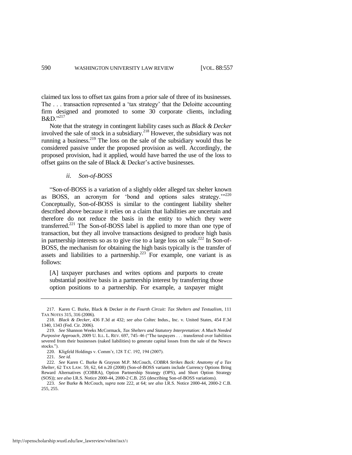claimed tax loss to offset tax gains from a prior sale of three of its businesses. The ... transaction represented a 'tax strategy' that the Deloitte accounting firm designed and promoted to some 30 corporate clients, including  $B&D.$ <sup>217</sup>

Note that the strategy in contingent liability cases such as *Black & Decker* involved the sale of stock in a subsidiary.<sup>218</sup> However, the subsidiary was not running a business.<sup>219</sup> The loss on the sale of the subsidiary would thus be considered passive under the proposed provision as well. Accordingly, the proposed provision, had it applied, would have barred the use of the loss to offset gains on the sale of Black & Decker's active businesses.

#### <span id="page-34-1"></span><span id="page-34-0"></span>*ii. Son-of-BOSS*

―Son-of-BOSS is a variation of a slightly older alleged tax shelter known as BOSS, an acronym for 'bond and options sales strategy.'"<sup>220</sup> Conceptually, Son-of-BOSS is similar to the contingent liability shelter described above because it relies on a claim that liabilities are uncertain and therefore do not reduce the basis in the entity to which they were transferred.<sup>221</sup> The Son-of-BOSS label is applied to more than one type of transaction, but they all involve transactions designed to produce high basis in partnership interests so as to give rise to a large loss on sale.<sup>222</sup> In Son-of-BOSS, the mechanism for obtaining the high basis typically is the transfer of assets and liabilities to a partnership.<sup> $223$ </sup> For example, one variant is as follows:

[A] taxpayer purchases and writes options and purports to create substantial positive basis in a partnership interest by transferring those option positions to a partnership. For example, a taxpayer might

<sup>217.</sup> Karen C. Burke, Black & Decker *in the Fourth Circuit: Tax Shelters and Textualism*, 111 TAX NOTES 315, 316 (2006).

<sup>218.</sup> *Black & Decker*, 436 F.3d at 432; *see also* Coltec Indus., Inc. v. United States, 454 F.3d 1340, 1343 (Fed. Cir. 2006).

<sup>219.</sup> *See* Shannon Weeks McCormack, *Tax Shelters and Statutory Interpretation: A Much Needed Purposive Approach*, 2009 U. ILL. L. REV. 697, 745–46 ("The taxpayers . . . transferred over liabilities severed from their businesses (naked liabilities) to generate capital losses from the sale of the Newco stocks.").

<sup>220.</sup> Kligfeld Holdings v. Comm'r, 128 T.C. 192, 194 (2007).

<sup>221.</sup> *See id.*

<sup>222.</sup> *See* Karen C. Burke & Grayson M.P. McCouch, *COBRA Strikes Back: Anatomy of a Tax Shelter*, 62 TAX LAW. 59, 62, 64 n.20 (2008) (Son-of-BOSS variants include Currency Options Bring Reward Alternatives (COBRA), Option Partnership Strategy (OPS), and Short Option Strategy (SOS)); *see also* I.R.S. Notice 2000-44, 2000-2 C.B. 255 (describing Son-of-BOSS variations).

<sup>223.</sup> *See* Burke & McCouch, *supra* note [222,](#page-34-0) at 64; *see also* I.R.S. Notice 2000-44, 2000-2 C.B. 255, 255.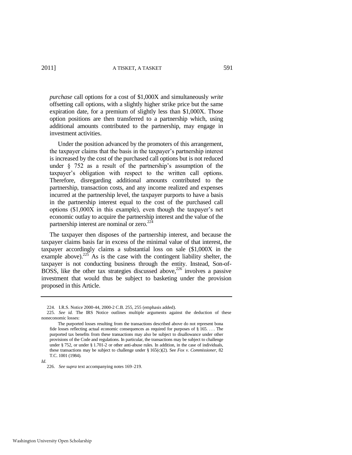*purchase* call options for a cost of \$1,000X and simultaneously *write* offsetting call options, with a slightly higher strike price but the same expiration date, for a premium of slightly less than \$1,000X. Those option positions are then transferred to a partnership which, using additional amounts contributed to the partnership, may engage in investment activities.

 Under the position advanced by the promoters of this arrangement, the taxpayer claims that the basis in the taxpayer's partnership interest is increased by the cost of the purchased call options but is not reduced under § 752 as a result of the partnership's assumption of the taxpayer's obligation with respect to the written call options. Therefore, disregarding additional amounts contributed to the partnership, transaction costs, and any income realized and expenses incurred at the partnership level, the taxpayer purports to have a basis in the partnership interest equal to the cost of the purchased call options (\$1,000X in this example), even though the taxpayer's net economic outlay to acquire the partnership interest and the value of the partnership interest are nominal or zero. $22^2$ 

The taxpayer then disposes of the partnership interest, and because the taxpayer claims basis far in excess of the minimal value of that interest, the taxpayer accordingly claims a substantial loss on sale (\$1,000X in the example above).<sup>225</sup> As is the case with the contingent liability shelter, the taxpayer is not conducting business through the entity. Instead, Son-of-BOSS, like the other tax strategies discussed above,  $226$  involves a passive investment that would thus be subject to basketing under the provision proposed in this Article.

226. *See supra* text accompanying note[s 169](#page-28-0)[–219.](#page-34-1)

<span id="page-35-0"></span><sup>224.</sup> I.R.S. Notice 2000-44, 2000-2 C.B. 255, 255 (emphasis added).

<sup>225.</sup> *See id.* The IRS Notice outlines multiple arguments against the deduction of these noneconomic losses:

The purported losses resulting from the transactions described above do not represent bona fide losses reflecting actual economic consequences as required for purposes of § 165. . . . The purported tax benefits from these transactions may also be subject to disallowance under other provisions of the Code and regulations. In particular, the transactions may be subject to challenge under § 752, or under § 1.701-2 or other anti-abuse rules. In addition, in the case of individuals, these transactions may be subject to challenge under § 165(c)(2). See *Fox v. Commissioner*, 82 T.C. 1001 (1984).

*Id.*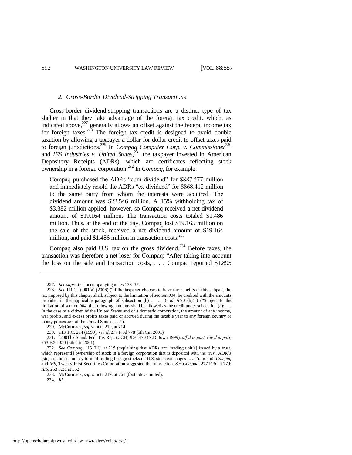#### <span id="page-36-0"></span>*2. Cross-Border Dividend-Stripping Transactions*

Cross-border dividend-stripping transactions are a distinct type of tax shelter in that they take advantage of the foreign tax credit, which, as indicated above, $227$  generally allows an offset against the federal income tax for foreign taxes.<sup>228</sup> The foreign tax credit is designed to avoid double taxation by allowing a taxpayer a dollar-for-dollar credit to offset taxes paid to foreign jurisdictions.<sup>229</sup> In *Compaq Computer Corp. v. Commissioner*<sup>230</sup> and *IES Industries v. United States*, <sup>231</sup> the taxpayer invested in American Depository Receipts (ADRs), which are certificates reflecting stock ownership in a foreign corporation.<sup>232</sup> In *Compaq*, for example:

Compaq purchased the ADRs "cum dividend" for \$887.577 million and immediately resold the ADRs "ex-dividend" for \$868.412 million to the same party from whom the interests were acquired. The dividend amount was \$22.546 million. A 15% withholding tax of \$3.382 million applied, however, so Compaq received a net dividend amount of \$19.164 million. The transaction costs totaled \$1.486 million. Thus, at the end of the day, Compaq lost \$19.165 million on the sale of the stock, received a net dividend amount of \$19.164 million, and paid \$1.486 million in transaction costs. $^{233}$ 

Compaq also paid U.S. tax on the gross dividend.<sup>234</sup> Before taxes, the transaction was therefore a net loser for Compaq: "After taking into account the loss on the sale and transaction costs, . . . Compaq reported \$1.895

<sup>227.</sup> *See supra* text accompanying note[s 136–](#page-23-1)37.

<sup>228.</sup> *See* I.R.C. § 901(a) (2006) ("If the taxpayer chooses to have the benefits of this subpart, the tax imposed by this chapter shall, subject to the limitation of section 904, be credited with the amounts provided in the applicable paragraph of subsection (b) . . . ."); *id.* § 901(b)(1) ("Subject to the limitation of section 904, the following amounts shall be allowed as the credit under subsection (a): . . . In the case of a citizen of the United States and of a domestic corporation, the amount of any income, war profits, and excess profits taxes paid or accrued during the taxable year to any foreign country or to any possession of the United States  $\dots$ .").

<sup>229.</sup> McCormack, *supra* not[e 219,](#page-34-1) at 714.

<sup>230. 113</sup> T.C. 214 (1999), *rev'd*, 277 F.3d 778 (5th Cir. 2001).

<sup>231. [2001] 2</sup> Stand. Fed. Tax Rep. (CCH) ¶ 50,470 (N.D. Iowa 1999), *aff'd in part*, *rev'd in part*, 253 F.3d 350 (8th Cir. 2001).

<sup>232.</sup> *See Compaq*, 113 T.C. at 215 (explaining that ADRs are "trading unit[s] issued by a trust, which represent[] ownership of stock in a foreign corporation that is deposited with the trust. ADR's [sic] are the customary form of trading foreign stocks on U.S. stock exchanges . . . .‖). In both *Compaq* and *IES*, Twenty-First Securities Corporation suggested the transaction. *See Compaq*, 277 F.3d at 779; *IES*, 253 F.3d at 352.

<sup>233.</sup> McCormack, *supra* not[e 219,](#page-34-1) at 761 (footnotes omitted).

<sup>234.</sup> *Id.*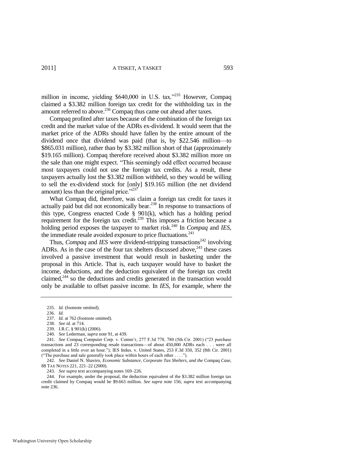million in income, yielding  $$640,000$  in U.S. tax.<sup>7235</sup> However, Compaq claimed a \$3.382 million foreign tax credit for the withholding tax in the amount referred to above.<sup>236</sup> Compaq thus came out ahead after taxes.

<span id="page-37-0"></span>Compaq profited after taxes because of the combination of the foreign tax credit and the market value of the ADRs ex-dividend. It would seem that the market price of the ADRs should have fallen by the entire amount of the dividend once that dividend was paid (that is, by \$22.546 million—to \$865.031 million), rather than by \$3.382 million short of that (approximately \$19.165 million). Compaq therefore received about \$3.382 million more on the sale than one might expect. "This seemingly odd effect occurred because most taxpayers could not use the foreign tax credits. As a result, these taxpayers actually lost the \$3.382 million withheld, so they would be willing to sell the ex-dividend stock for [only] \$19.165 million (the net dividend amount) less than the original price. $1237$ 

What Compaq did, therefore, was claim a foreign tax credit for taxes it actually paid but did not economically bear.<sup>238</sup> In response to transactions of this type, Congress enacted Code § 901(k), which has a holding period requirement for the foreign tax credit.<sup>239</sup> This imposes a friction because a holding period exposes the taxpayer to market risk.<sup>240</sup> In *Compaq* and *IES*, the immediate resale avoided exposure to price fluctuations. $241$ 

Thus, *Compaq* and *IES* were dividend-stripping transactions<sup>242</sup> involving ADRs. As in the case of the four tax shelters discussed above,  $243$  these cases involved a passive investment that would result in basketing under the proposal in this Article. That is, each taxpayer would have to basket the income, deductions, and the deduction equivalent of the foreign tax credit claimed, $244$  so the deductions and credits generated in the transaction would only be available to offset passive income. In *IES*, for example, where the

<sup>235.</sup> *Id.* (footnote omitted).

<sup>236.</sup> *Id.*

<sup>237.</sup> *Id.* at 762 (footnote omitted).

<sup>238.</sup> *See id.* at 714.

<sup>239.</sup> I.R.C. § 901(k) (2006).

<sup>240.</sup> *See* Lederman, *supra* note [91,](#page-16-0) at 439.

<sup>241.</sup> *See* Compaq Computer Corp. v. Comm'r, 277 F.3d 778, 780 (5th Cir. 2001) ("23 purchase transactions and 23 corresponding resale transactions—of about 450,000 ADRs each . . . were all completed in a little over an hour."); IES Indus. v. United States, 253 F.3d 350, 352 (8th Cir. 2001) ("The purchase and sale generally took place within hours of each other  $\dots$ ").

<sup>242.</sup> *See* Daniel N. Shaviro, *Economic Substance, Corporate Tax Shelters, and the* Compaq *Case*, 88 TAX NOTES 221, 221–22 (2000).

<sup>243.</sup> *See supra* text accompanying note[s 169](#page-28-0)[–226.](#page-35-0)

<sup>244.</sup> For example, under the proposal, the deduction equivalent of the \$3.382 million foreign tax credit claimed by Compaq would be \$9.663 million. *See supra* note [156;](#page-25-1) *supra* text accompanying note [236.](#page-37-0)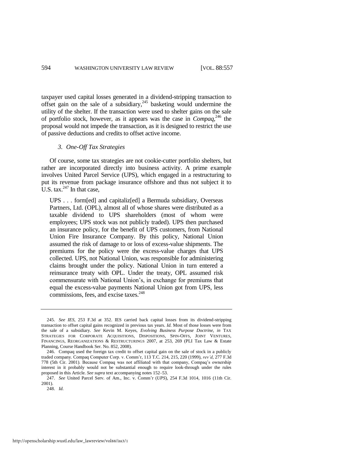taxpayer used capital losses generated in a dividend-stripping transaction to offset gain on the sale of a subsidiary,  $245$  basketing would undermine the utility of the shelter. If the transaction were used to shelter gains on the sale of portfolio stock, however, as it appears was the case in *Compaq*, <sup>246</sup> the proposal would not impede the transaction, as it is designed to restrict the use of passive deductions and credits to offset active income.

#### <span id="page-38-0"></span>*3. One-Off Tax Strategies*

Of course, some tax strategies are not cookie-cutter portfolio shelters, but rather are incorporated directly into business activity. A prime example involves United Parcel Service (UPS), which engaged in a restructuring to put its revenue from package insurance offshore and thus not subject it to U.S. tax. $247$  In that case,

UPS . . . form[ed] and capitaliz[ed] a Bermuda subsidiary, Overseas Partners, Ltd. (OPL), almost all of whose shares were distributed as a taxable dividend to UPS shareholders (most of whom were employees; UPS stock was not publicly traded). UPS then purchased an insurance policy, for the benefit of UPS customers, from National Union Fire Insurance Company. By this policy, National Union assumed the risk of damage to or loss of excess-value shipments. The premiums for the policy were the excess-value charges that UPS collected. UPS, not National Union, was responsible for administering claims brought under the policy. National Union in turn entered a reinsurance treaty with OPL. Under the treaty, OPL assumed risk commensurate with National Union's, in exchange for premiums that equal the excess-value payments National Union got from UPS, less commissions, fees, and excise taxes.<sup>248</sup>

<sup>245.</sup> *See IES*, 253 F.3d at 352. IES carried back capital losses from its dividend-stripping transaction to offset capital gains recognized in previous tax years. *Id.* Most of those losses were from the sale of a subsidiary. *See* Kevin M. Keyes, *Evolving Business Purpose Doctrine*, *in* TAX STRATEGIES FOR CORPORATE ACQUISITIONS, DISPOSITIONS, SPIN-OFFS, JOINT VENTURES, FINANCINGS, REORGANIZATIONS & RESTRUCTURINGS 2007, at 253, 269 (PLI Tax Law & Estate Planning, Course Handbook Ser. No. 852, 2008).

<sup>246.</sup> Compaq used the foreign tax credit to offset capital gain on the sale of stock in a publicly traded company*.* Compaq Computer Corp. v. Comm'r, 113 T.C. 214, 215, 220 (1999), *rev'd*, 277 F.3d 778 (5th Cir. 2001). Because Compaq was not affiliated with that company, Compaq's ownership interest in it probably would not be substantial enough to require look-through under the rules proposed in this Article. *See supra* text accompanying note[s 152–](#page-24-0)53.

<sup>247.</sup> *See* United Parcel Serv. of Am., Inc. v. Comm'r (*UPS*), 254 F.3d 1014, 1016 (11th Cir. 2001).

<sup>248.</sup> *Id.*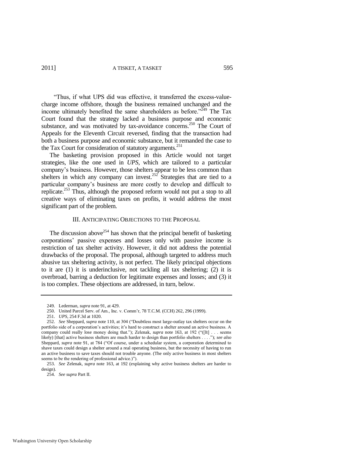―Thus, if what UPS did was effective, it transferred the excess-valuecharge income offshore, though the business remained unchanged and the income ultimately benefited the same shareholders as before.<sup> $249$ </sup> The Tax Court found that the strategy lacked a business purpose and economic substance, and was motivated by tax-avoidance concerns.<sup>250</sup> The Court of Appeals for the Eleventh Circuit reversed, finding that the transaction had both a business purpose and economic substance, but it remanded the case to the Tax Court for consideration of statutory arguments.<sup>251</sup>

The basketing provision proposed in this Article would not target strategies, like the one used in *UPS*, which are tailored to a particular company's business. However, those shelters appear to be less common than shelters in which any company can invest.<sup>252</sup> Strategies that are tied to a particular company's business are more costly to develop and difficult to replicate.<sup>253</sup> Thus, although the proposed reform would not put a stop to all creative ways of eliminating taxes on profits, it would address the most significant part of the problem.

#### <span id="page-39-0"></span>III. ANTICIPATING OBJECTIONS TO THE PROPOSAL

The discussion above<sup>254</sup> has shown that the principal benefit of basketing corporations' passive expenses and losses only with passive income is restriction of tax shelter activity. However, it did not address the potential drawbacks of the proposal. The proposal, although targeted to address much abusive tax sheltering activity, is not perfect. The likely principal objections to it are (1) it is underinclusive, not tackling all tax sheltering; (2) it is overbroad, barring a deduction for legitimate expenses and losses; and (3) it is too complex. These objections are addressed, in turn, below.

<sup>249.</sup> Lederman, *supra* not[e 91,](#page-16-0) at 429.

<sup>250.</sup> United Parcel Serv. of Am., Inc. v. Comm'r, 78 T.C.M. (CCH) 262, 296 (1999).

<sup>251.</sup> *UPS*, 254 F.3d at 1020.

<sup>252.</sup> *See* Sheppard, *supra* not[e 110,](#page-20-0) at 304 ("Doubtless most large-outlay tax shelters occur on the portfolio side of a corporation's activities; it's hard to construct a shelter around an active business. A company could really lose money doing that."); Zelenak, *supra* note [163,](#page-26-0) at 192 ("([It] . . . seems likely) [that] active business shelters are much harder to design than portfolio shelters . . . .‖); *see also* Sheppard, *supra* note [91,](#page-16-0) at 784 ("Of course, under a schedular system, a corporation determined to shave taxes could design a shelter around a real operating business, but the necessity of having to run an active business to save taxes should not trouble anyone. (The only active business in most shelters seems to be the rendering of professional advice.)".

<sup>253.</sup> *See* Zelenak, *supra* note [163,](#page-26-0) at 192 (explaining why active business shelters are harder to design).

<sup>254.</sup> *See supra* Part II.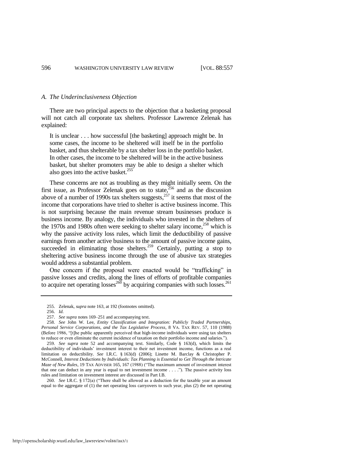#### *A. The Underinclusiveness Objection*

There are two principal aspects to the objection that a basketing proposal will not catch all corporate tax shelters. Professor Lawrence Zelenak has explained:

It is unclear . . . how successful [the basketing] approach might be. In some cases, the income to be sheltered will itself be in the portfolio basket, and thus shelterable by a tax shelter loss in the portfolio basket. In other cases, the income to be sheltered will be in the active business basket, but shelter promoters may be able to design a shelter which also goes into the active basket. $255$ 

These concerns are not as troubling as they might initially seem. On the first issue, as Professor Zelenak goes on to state, $256$  and as the discussion above of a number of 1990s tax shelters suggests, $257$  it seems that most of the income that corporations have tried to shelter is active business income. This is not surprising because the main revenue stream businesses produce is business income. By analogy, the individuals who invested in the shelters of the 1970s and 1980s often were seeking to shelter salary income, $^{258}$  which is why the passive activity loss rules, which limit the deductibility of passive earnings from another active business to the amount of passive income gains, succeeded in eliminating those shelters.<sup>259</sup> Certainly, putting a stop to sheltering active business income through the use of abusive tax strategies would address a substantial problem.

One concern if the proposal were enacted would be "trafficking" in passive losses and credits, along the lines of efforts of profitable companies to acquire net operating losses<sup>260</sup> by acquiring companies with such losses.<sup>261</sup>

259. *See supra* note [52](#page-11-1) and accompanying text. Similarly, Code § 163(d), which limits the deductibility of individuals' investment interest to their net investment income, functions as a real limitation on deductibility. *See* I.R.C. § 163(d) (2006); Linette M. Barclay & Christopher P. McConnell, *Interest Deductions by Individuals: Tax Planning is Essential to Get Through the Intricate Maze of New Rules*, 19 TAX ADVISER 165, 167 (1988) ("The maximum amount of investment interest that one can deduct in any year is equal to net investment income  $\dots$ . . ."). The passive activity loss rules and limitation on investment interest are discussed in Part I.B.

260. *See* I.R.C. § 172(a) ("There shall be allowed as a deduction for the taxable year an amount equal to the aggregate of (1) the net operating loss carryovers to such year, plus (2) the net operating

<sup>255.</sup> Zelenak, *supra* not[e 163,](#page-26-0) at 192 (footnotes omitted).

<sup>256.</sup> *Id.*

<sup>257.</sup> *See supra* note[s 169](#page-28-0)[–251](#page-39-0) and accompanying text.

<sup>258.</sup> *See* John W. Lee, *Entity Classification and Integration: Publicly Traded Partnerships, Personal Service Corporations, and the Tax Legislative Process*, 8 VA. TAX REV. 57, 110 (1988) (Before 1986, "[t]he public apparently perceived that high-income individuals were using tax shelters to reduce or even eliminate the current incidence of taxation on their portfolio income and salaries.").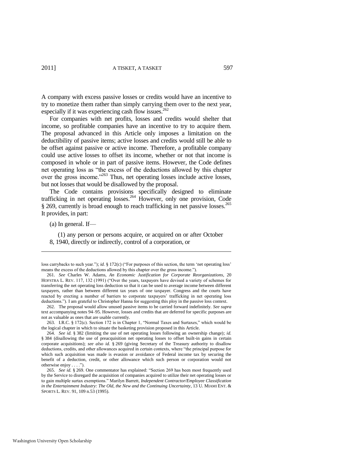A company with excess passive losses or credits would have an incentive to try to monetize them rather than simply carrying them over to the next year, especially if it was experiencing cash flow issues.<sup>262</sup>

For companies with net profits, losses and credits would shelter that income, so profitable companies have an incentive to try to acquire them. The proposal advanced in this Article only imposes a limitation on the deductibility of passive items; active losses and credits would still be able to be offset against passive or active income. Therefore, a profitable company could use active losses to offset its income, whether or not that income is composed in whole or in part of passive items. However, the Code defines net operating loss as "the excess of the deductions allowed by this chapter over the gross income."<sup>263</sup> Thus, net operating losses include active losses, but not losses that would be disallowed by the proposal.

The Code contains provisions specifically designed to eliminate trafficking in net operating losses.<sup>264</sup> However, only one provision, Code § 269, currently is broad enough to reach trafficking in net passive losses.<sup>265</sup> It provides, in part:

(a) In general. If—

 $\overline{\phantom{a}}$ 

 (1) any person or persons acquire, or acquired on or after October 8, 1940, directly or indirectly, control of a corporation, or

loss carrybacks to such year."); *id.* § 172(c) ("For purposes of this section, the term 'net operating loss' means the excess of the deductions allowed by this chapter over the gross income.").

<sup>261.</sup> *See* Charles W. Adams, *An Economic Justification for Corporate Reorganizations*, 20 HOFSTRA L. REV. 117, 132 (1991) ("Over the years, taxpayers have devised a variety of schemes for transferring the net operating loss deduction so that it can be used to average income between different taxpayers, rather than between different tax years of one taxpayer. Congress and the courts have reacted by erecting a number of barriers to corporate taxpayers' trafficking in net operating loss deductions.‖). I am grateful to Christopher Hanna for suggesting this ploy in the passive loss context.

<sup>262.</sup> The proposal would allow unused passive items to be carried forward indefinitely. *See supra* text accompanying note[s 94](#page-17-0)[–95.](#page-17-1) However, losses and credits that are deferred for specific purposes are not as valuable as ones that are usable currently.

<sup>263.</sup> I.R.C. § 172(c). Section 172 is in Chapter 1, "Normal Taxes and Surtaxes," which would be the logical chapter in which to situate the basketing provision proposed in this Article.

<sup>264.</sup> *See id.* § 382 (limiting the use of net operating losses following an ownership change); *id.*  § 384 (disallowing the use of preacquisition net operating losses to offset built-in gains in certain corporate acquisitions); *see also id.* § 269 (giving Secretary of the Treasury authority to disallow deductions, credits, and other allowances acquired in certain contexts, where "the principal purpose for which such acquisition was made is evasion or avoidance of Federal income tax by securing the benefit of a deduction, credit, or other allowance which such person or corporation would not otherwise enjoy . . . .").

<sup>265.</sup> *See id.* § 269. One commentator has explained: "Section 269 has been most frequently used by the Service to disregard the acquisition of companies acquired to utilize their net operating losses or to gain multiple surtax exemptions.‖ Marilyn Barrett, *Independent Contractor/Employee Classification in the Entertainment Industry: The Old, the New and the Continuing Uncertainty*, 13 U. MIAMI ENT. & SPORTS L. REV. 91, 109 n.53 (1995).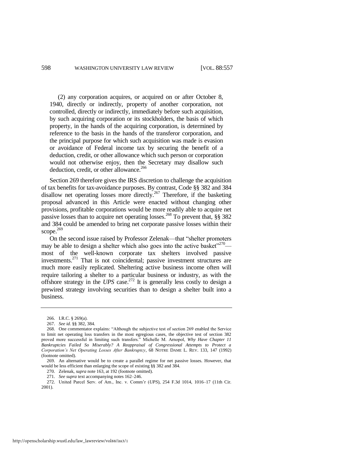(2) any corporation acquires, or acquired on or after October 8, 1940, directly or indirectly, property of another corporation, not controlled, directly or indirectly, immediately before such acquisition, by such acquiring corporation or its stockholders, the basis of which property, in the hands of the acquiring corporation, is determined by reference to the basis in the hands of the transferor corporation, and the principal purpose for which such acquisition was made is evasion or avoidance of Federal income tax by securing the benefit of a deduction, credit, or other allowance which such person or corporation would not otherwise enjoy, then the Secretary may disallow such deduction, credit, or other allowance.<sup>266</sup>

Section 269 therefore gives the IRS discretion to challenge the acquisition of tax benefits for tax-avoidance purposes. By contrast, Code §§ 382 and 384 disallow net operating losses more directly.<sup>267</sup> Therefore, if the basketing proposal advanced in this Article were enacted without changing other provisions, profitable corporations would be more readily able to acquire net passive losses than to acquire net operating losses.<sup>268</sup> To prevent that, §§ 382 and 384 could be amended to bring net corporate passive losses within their scope. $269$ 

<span id="page-42-1"></span><span id="page-42-0"></span>On the second issue raised by Professor Zelenak—that "shelter promoters" may be able to design a shelter which also goes into the active basket<sup> $270$ </sup> most of the well-known corporate tax shelters involved passive investments.<sup>271</sup> That is not coincidental; passive investment structures are much more easily replicated. Sheltering active business income often will require tailoring a shelter to a particular business or industry, as with the offshore strategy in the *UPS* case.<sup>272</sup> It is generally less costly to design a prewired strategy involving securities than to design a shelter built into a business.

<sup>266.</sup> I.R.C. § 269(a).

<sup>267.</sup> *See id.* §§ 382, 384.

<sup>268.</sup> One commentator explains: "Although the subjective test of section 269 enabled the Service to limit net operating loss transfers in the most egregious cases, the objective test of section 382 proved more successful in limiting such transfers." Michelle M. Arnopol, *Why Have Chapter 11 Bankruptcies Failed So Miserably? A Reappraisal of Congressional Attempts to Protect a Corporation's Net Operating Losses After Bankruptcy*, 68 NOTRE DAME L. REV. 133, 147 (1992) (footnote omitted).

<sup>269.</sup> An alternative would be to create a parallel regime for net passive losses. However, that would be less efficient than enlarging the scope of existing §§ 382 and 384.

<sup>270.</sup> Zelenak, *supra* not[e 163,](#page-26-0) at 192 (footnote omitted).

<sup>271.</sup> *See supra* text accompanying note[s 162](#page-26-1)[–246.](#page-38-0)

<sup>272.</sup> United Parcel Serv. of Am., Inc. v. Comm'r (*UPS*), 254 F.3d 1014, 1016–17 (11th Cir. 2001).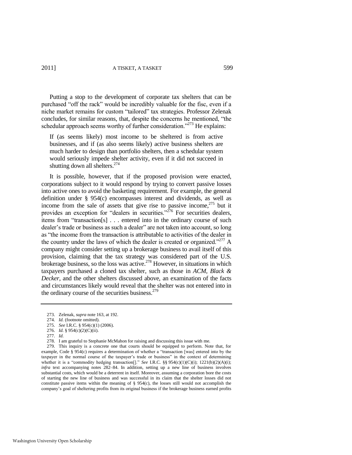Putting a stop to the development of corporate tax shelters that can be purchased "off the rack" would be incredibly valuable for the fisc, even if a niche market remains for custom "tailored" tax strategies. Professor Zelenak concludes, for similar reasons, that, despite the concerns he mentioned, "the schedular approach seems worthy of further consideration.<sup> $273$ </sup> He explains:

If (as seems likely) most income to be sheltered is from active businesses, and if (as also seems likely) active business shelters are much harder to design than portfolio shelters, then a schedular system would seriously impede shelter activity, even if it did not succeed in shutting down all shelters.<sup>274</sup>

It is possible, however, that if the proposed provision were enacted, corporations subject to it would respond by trying to convert passive losses into active ones to avoid the basketing requirement. For example, the general definition under § 954(c) encompasses interest and dividends, as well as income from the sale of assets that give rise to passive income, $275$  but it provides an exception for "dealers in securities."<sup>276</sup> For securities dealers, items from "transaction[s]  $\ldots$  entered into in the ordinary course of such dealer's trade or business as such a dealer" are not taken into account, so long as "the income from the transaction is attributable to activities of the dealer in the country under the laws of which the dealer is created or organized.<sup>277</sup> A company might consider setting up a brokerage business to avail itself of this provision, claiming that the tax strategy was considered part of the U.S. brokerage business, so the loss was active.<sup>278</sup> However, in situations in which taxpayers purchased a cloned tax shelter, such as those in *ACM*, *Black & Decker*, and the other shelters discussed above, an examination of the facts and circumstances likely would reveal that the shelter was not entered into in the ordinary course of the securities business.<sup>279</sup>

279. This inquiry is a concrete one that courts should be equipped to perform. Note that, for example, Code § 954 $(c)$  requires a determination of whether a "transaction [was] entered into by the taxpayer in the normal course of the taxpayer's trade or business" in the context of determining whether it is a "commodity hedging transaction[]." *See I.R.C.* §§ 954(c)(1)(C)(i); 1221(b)(2)(A)(i); *infra* text accompanying notes [282–](#page-44-1)84. In addition, setting up a new line of business involves substantial costs, which would be a deterrent in itself. Moreover, assuming a corporation bore the costs of starting the new line of business and was successful in its claim that the shelter losses did not constitute passive items within the meaning of  $\S$  954(c), the losses still would not accomplish the company's goal of sheltering profits from its original business if the brokerage business earned profits

<sup>273.</sup> Zelenak, *supra* not[e 163,](#page-26-0) at 192.

<sup>274.</sup> *Id.* (footnote omitted).

<sup>275.</sup> *See* I.R.C. § 954(c)(1) (2006).

<sup>276.</sup> *Id.* § 954(c)(2)(C)(ii).

<sup>277.</sup> *Id.* 

<sup>278.</sup> I am grateful to Stephanie McMahon for raising and discussing this issue with me.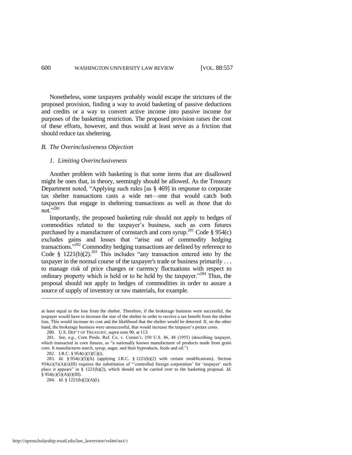Nonetheless, some taxpayers probably would escape the strictures of the proposed provision, finding a way to avoid basketing of passive deductions and credits or a way to convert active income into passive income for purposes of the basketing restriction. The proposed provision raises the cost of these efforts, however, and thus would at least serve as a friction that should reduce tax sheltering.

#### *B. The Overinclusiveness Objection*

#### *1. Limiting Overinclusiveness*

Another problem with basketing is that some items that are disallowed might be ones that, in theory, seemingly should be allowed. As the Treasury Department noted, "Applying such rules [as § 469] in response to corporate tax shelter transactions casts a wide net—one that would catch both taxpayers that engage in sheltering transactions as well as those that do not." $^{280}$ 

<span id="page-44-1"></span><span id="page-44-0"></span>Importantly, the proposed basketing rule should not apply to hedges of commodities related to the taxpayer's business, such as corn futures purchased by a manufacturer of cornstarch and corn syrup.<sup>281</sup> Code § 954(c) excludes gains and losses that "arise out of commodity hedging transactions."<sup>282</sup> Commodity hedging transactions are defined by reference to Code § 1221(b)(2).<sup>283</sup> This includes "any transaction entered into by the taxpayer in the normal course of the taxpayer's trade or business primarily . . . to manage risk of price changes or currency fluctuations with respect to ordinary property which is held or to be held by the taxpayer."<sup>284</sup> Thus, the proposal should not apply to hedges of commodities in order to assure a source of supply of inventory or raw materials, for example.

at least equal to the loss from the shelter. Therefore, if the brokerage business were successful, the taxpayer would have to increase the size of the shelter in order to receive a tax benefit from the shelter loss. This would increase its cost and the likelihood that the shelter would be detected. If, on the other hand, the brokerage business were unsuccessful, that would increase the taxpayer's pretax costs.

<sup>280.</sup> U.S. DEP'T OF TREASURY, *supra* not[e 90,](#page-16-1) at 113.

<sup>281.</sup> *See, e.g.*, Corn Prods. Ref. Co. v. Comm'r, 350 U.S. 46, 48 (1955) (describing taxpayer, which transacted in corn futures, as "a nationally known manufacturer of products made from grain corn. It manufactures starch, syrup, sugar, and their byproducts, feeds and oil.")

<sup>282.</sup> I.R.C. § 954(c)(1)(C)(i).

<sup>283.</sup> *Id.* § 954(c)(5)(A) (applying I.R.C. § 1221(b)(2) with certain modifications). Section  $954(c)(5)(A)(i)(III)$  requires the substitution of "controlled foreign corporation' for 'taxpayer' each place it appears" in § 1221(b)(2), which should not be carried over to the basketing proposal. *Id.*  $§ 954(c)(5)(A)(i)(III).$ 

<sup>284.</sup> *Id.* § 1221(b)(2)(A)(i).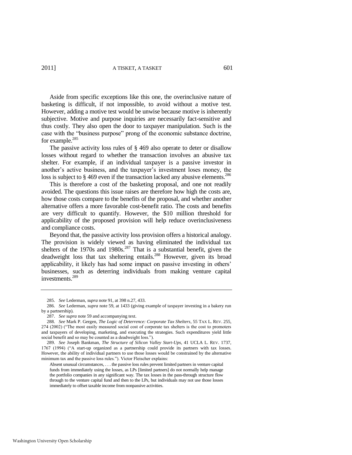Aside from specific exceptions like this one, the overinclusive nature of basketing is difficult, if not impossible, to avoid without a motive test. However, adding a motive test would be unwise because motive is inherently subjective. Motive and purpose inquiries are necessarily fact-sensitive and thus costly. They also open the door to taxpayer manipulation. Such is the case with the "business purpose" prong of the economic substance doctrine, for example.<sup>285</sup>

The passive activity loss rules of § 469 also operate to deter or disallow losses without regard to whether the transaction involves an abusive tax shelter. For example, if an individual taxpayer is a passive investor in another's active business, and the taxpayer's investment loses money, the loss is subject to  $\S 469$  even if the transaction lacked any abusive elements.<sup>286</sup>

This is therefore a cost of the basketing proposal, and one not readily avoided. The questions this issue raises are therefore how high the costs are, how those costs compare to the benefits of the proposal, and whether another alternative offers a more favorable cost-benefit ratio. The costs and benefits are very difficult to quantify. However, the \$10 million threshold for applicability of the proposed provision will help reduce overinclusiveness and compliance costs.

Beyond that, the passive activity loss provision offers a historical analogy. The provision is widely viewed as having eliminated the individual tax shelters of the 1970s and 1980s.<sup>287</sup> That is a substantial benefit, given the deadweight loss that tax sheltering entails.<sup>288</sup> However, given its broad applicability, it likely has had some impact on passive investing in others' businesses, such as deterring individuals from making venture capital investments.<sup>289</sup>

<sup>285.</sup> *See* Lederman, *supra* note [91,](#page-16-0) at 398 n.27, 433.

<sup>286.</sup> *See* Lederman, *supra* note [59,](#page-12-2) at 1433 (giving example of taxpayer investing in a bakery run by a partnership).

<sup>287.</sup> *See supra* not[e 59 a](#page-12-2)nd accompanying text.

<sup>288.</sup> *See* Mark P. Gergen, *The Logic of Deterrence: Corporate Tax Shelters*, 55 TAX L. REV. 255, 274 (2002) ("The most easily measured social cost of corporate tax shelters is the cost to promoters and taxpayers of developing, marketing, and executing the strategies. Such expenditures yield little social benefit and so may be counted as a deadweight loss.").

<sup>289.</sup> *See* Joseph Bankman, *The Structure of Silicon Valley Start-Ups*, 41 UCLA L. REV. 1737, 1767 (1994) ("A start-up organized as a partnership could provide its partners with tax losses. However, the ability of individual partners to use those losses would be constrained by the alternative minimum tax and the passive loss rules."). Victor Fleischer explains:

Absent unusual circumstances, . . . the passive loss rules prevent limited partners in venture capital funds from immediately using the losses, as LPs [limited partners] do not normally help manage the portfolio companies in any significant way. The tax losses in the pass-through structure flow through to the venture capital fund and then to the LPs, but individuals may not use those losses immediately to offset taxable income from nonpassive activities.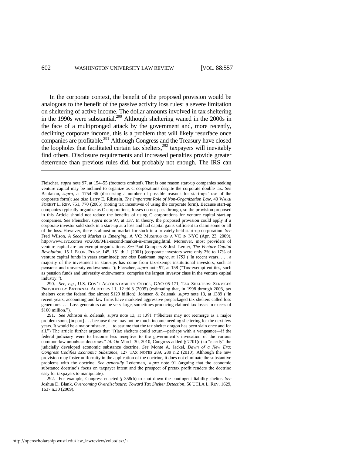In the corporate context, the benefit of the proposed provision would be analogous to the benefit of the passive activity loss rules: a severe limitation on sheltering of active income. The dollar amounts involved in tax sheltering in the 1990s were substantial.<sup>290</sup> Although sheltering waned in the 2000s in the face of a multipronged attack by the government and, more recently, declining corporate income, this is a problem that will likely resurface once companies are profitable.<sup>291</sup> Although Congress and the Treasury have closed the loopholes that facilitated certain tax shelters, $292$  taxpayers will inevitably find others. Disclosure requirements and increased penalties provide greater deterrence than previous rules did, but probably not enough. The IRS can

290. *See*, *e.g.*, U.S. GOV'T ACCOUNTABILITY OFFICE, GAO-05-171, TAX SHELTERS: SERVICES PROVIDED BY EXTERNAL AUDITORS 11, 12 tbl.3 (2005) (estimating that, in 1998 through 2003, tax shelters cost the federal fisc almost \$129 billion); Johnson & Zelenak, *supra* note [13,](#page-5-0) at 1389 ("In recent years, accounting and law firms have marketed aggressive prepackaged tax shelters called loss generators. . . . Loss generators can be very large, sometimes producing claimed tax losses in excess of  $$100$  million.").

Fleischer, *supra* not[e 97,](#page-18-0) at 154–55 (footnote omitted). That is one reason start-up companies seeking venture capital may be inclined to organize as C corporations despite the corporate double tax. *See*  Bankman, *supra*, at 1754–66 (discussing a number of possible reasons for start-ups' use of the corporate form); *see also* Larry E. Ribstein, *The Important Role of Non-Organization Law*, 40 WAKE FOREST L. REV. 751, 770 (2005) (noting tax incentives of using the corporate form). Because start-up companies typically organize as C corporations, losses do not pass through, so the provision proposed in this Article should not reduce the benefits of using C corporations for venture capital start-up companies. *See* Fleischer, *supra* note [97,](#page-18-0) at 137. In theory, the proposed provision could apply if a corporate investor sold stock in a start-up at a loss and had capital gains sufficient to claim some or all of the loss. However, there is almost no market for stock in a privately held start-up corporation. *See* Fred Wilson, *A Second Market is Emerging*, A VC: MUSINGS OF A VC IN NYC (Apr. 23, 2009), http://www.avc.com/a\_vc/2009/04/a-second-market-is-emerging.html. Moreover, most providers of venture capital are tax-exempt organizations. *See* Paul Gompers & Josh Lerner, *The Venture Capital Revolution*, 15 J. ECON. PERSP. 145, 151 tbl.1 (2001) (corporate investors were only 2% to 17% of venture capital funds in years examined); *see also* Bankman, *supra*, at 1753 ("In recent years, . . . a majority of the investment in start-ups has come from tax-exempt institutional investors, such as pensions and university endowments."); Fleischer, *supra* not[e 97,](#page-18-0) at 158 ("Tax-exempt entities, such as pension funds and university endowments, comprise the largest investor class in the venture capital industry.").

<sup>291.</sup> *See Johnson & Zelenak, supra* note [13,](#page-5-0) at 1391 ("Shelters may not reemerge as a major problem soon, [in part] . . . because there may not be much income needing sheltering for the next few years. It would be a major mistake . . . to assume that the tax shelter dragon has been slain once and for all.") The article further argues that "[t]ax shelters could return—perhaps with a vengeance—if the federal judiciary were to become less receptive to the government's invocation of the various common-law antiabuse doctrines." *Id.* On March 30, 2010, Congress added § 7701(o) to "clarify" the judicially developed economic substance doctrine. *See* Monte A. Jackel, *Dawn of a New Era: Congress Codifies Economic Substance*, 127 TAX NOTES 289, 289 n.2 (2010). Although the new provision may foster uniformity in the application of the doctrine, it does not eliminate the substantive problems with the doctrine. *See generally* Lederman, *supra* note [91](#page-16-0) (arguing that the economic substance doctrine's focus on taxpayer intent and the prospect of pretax profit renders the doctrine easy for taxpayers to manipulate).

<sup>292.</sup> For example, Congress enacted § 358(h) to shut down the contingent liability shelter. *See* Joshua D. Blank, *Overcoming Overdisclosure: Toward Tax Shelter Detection*, 56 UCLA L. REV. 1629, 1637 n.30 (2009).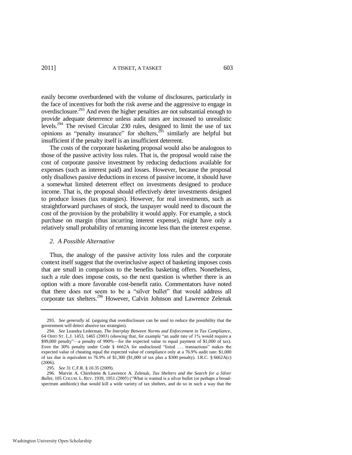easily become overburdened with the volume of disclosures, particularly in the face of incentives for both the risk averse and the aggressive to engage in overdisclosure.<sup>293</sup> And even the higher penalties are not substantial enough to provide adequate deterrence unless audit rates are increased to unrealistic levels.<sup>294</sup> The revised Circular 230 rules, designed to limit the use of tax opinions as "penalty insurance" for shelters, $2\frac{5}{5}$  similarly are helpful but insufficient if the penalty itself is an insufficient deterrent.

The costs of the corporate basketing proposal would also be analogous to those of the passive activity loss rules. That is, the proposal would raise the cost of corporate passive investment by reducing deductions available for expenses (such as interest paid) and losses. However, because the proposal only disallows passive deductions in excess of passive income, it should have a somewhat limited deterrent effect on investments designed to produce income. That is, the proposal should effectively deter investments designed to produce losses (tax strategies). However, for real investments, such as straightforward purchases of stock, the taxpayer would need to discount the cost of the provision by the probability it would apply. For example, a stock purchase on margin (thus incurring interest expense), might have only a relatively small probability of returning income less than the interest expense.

#### *2. A Possible Alternative*

Thus, the analogy of the passive activity loss rules and the corporate context itself suggest that the overinclusive aspect of basketing imposes costs that are small in comparison to the benefits basketing offers. Nonetheless, such a rule does impose costs, so the next question is whether there is an option with a more favorable cost-benefit ratio. Commentators have noted that there does not seem to be a "silver bullet" that would address all corporate tax shelters.<sup>296</sup> However, Calvin Johnson and Lawrence Zelenak

<sup>293.</sup> *See generally id.* (arguing that overdisclosure can be used to reduce the possibility that the government will detect abusive tax strategies).

<sup>294.</sup> *See* Leandra Lederman, *The Interplay Between Norms and Enforcement in Tax Compliance*, 64 OHIO ST. L.J. 1453, 1465 (2003) (showing that, for example "an audit rate of  $1\%$  would require a \$99,000 penalty"—a penalty of 990%—for the expected value to equal payment of \$1,000 of tax). Even the 30% penalty under Code  $\S$  6662A for undisclosed "listed ... transactions" makes the expected value of cheating equal the expected value of compliance only at a 76.9% audit rate: \$1,000 of tax due is equivalent to 76.9% of \$1,300 (\$1,000 of tax plus a \$300 penalty). I.R.C. § 6662A(c) (2006).

<sup>295.</sup> *See* 31 C.F.R. § 10.35 (2009).

<sup>296.</sup> Marvin A. Chirelstein & Lawrence A. Zelenak, *Tax Shelters and the Search for a Silver Bullet*, 105 COLUM. L. REV. 1939, 1951 (2005) ("What is wanted is a silver bullet (or perhaps a broadspectrum antibiotic) that would kill a wide variety of tax shelters, and do so in such a way that the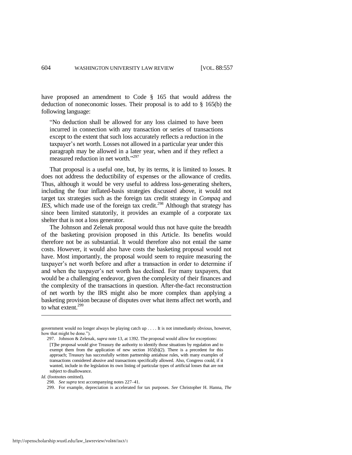have proposed an amendment to Code § 165 that would address the deduction of noneconomic losses. Their proposal is to add to § 165(b) the following language:

―No deduction shall be allowed for any loss claimed to have been incurred in connection with any transaction or series of transactions except to the extent that such loss accurately reflects a reduction in the taxpayer's net worth. Losses not allowed in a particular year under this paragraph may be allowed in a later year, when and if they reflect a measured reduction in net worth."<sup>297</sup>

That proposal is a useful one, but, by its terms, it is limited to losses. It does not address the deductibility of expenses or the allowance of credits. Thus, although it would be very useful to address loss-generating shelters, including the four inflated-basis strategies discussed above, it would not target tax strategies such as the foreign tax credit strategy in *Compaq* and *IES*, which made use of the foreign tax credit.<sup>298</sup> Although that strategy has since been limited statutorily, it provides an example of a corporate tax shelter that is not a loss generator.

The Johnson and Zelenak proposal would thus not have quite the breadth of the basketing provision proposed in this Article. Its benefits would therefore not be as substantial. It would therefore also not entail the same costs. However, it would also have costs the basketing proposal would not have. Most importantly, the proposal would seem to require measuring the taxpayer's net worth before and after a transaction in order to determine if and when the taxpayer's net worth has declined. For many taxpayers, that would be a challenging endeavor, given the complexity of their finances and the complexity of the transactions in question. After-the-fact reconstruction of net worth by the IRS might also be more complex than applying a basketing provision because of disputes over what items affect net worth, and to what extent. $299$ 

 $\overline{a}$ 

government would no longer always be playing catch up . . . . It is not immediately obvious, however, how that might be done.").

<sup>297.</sup> Johnson & Zelenak, *supra* not[e 13,](#page-5-0) at 1392. The proposal would allow for exceptions: [T]he proposal would give Treasury the authority to identify those situations by regulation and to exempt them from the application of new section 165(b)(2). There is a precedent for this approach; Treasury has successfully written partnership antiabuse rules, with many examples of transactions considered abusive and transactions specifically allowed. Also, Congress could, if it wanted, include in the legislation its own listing of particular types of artificial losses that are not subject to disallowance.

*Id.* (footnotes omitted).

<sup>298.</sup> *See supra* text accompanying note[s 227–](#page-36-0)41.

<sup>299.</sup> For example, depreciation is accelerated for tax purposes. *See* Christopher H. Hanna, *The*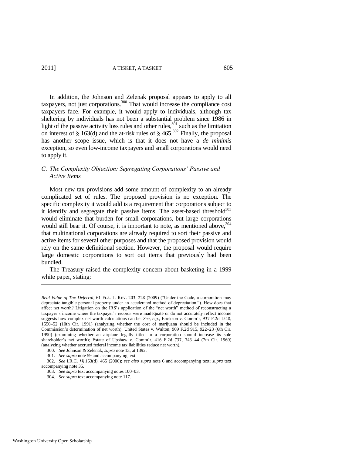In addition, the Johnson and Zelenak proposal appears to apply to all taxpayers, not just corporations.<sup>300</sup> That would increase the compliance cost taxpayers face. For example, it would apply to individuals, although tax sheltering by individuals has not been a substantial problem since 1986 in light of the passive activity loss rules and other rules,  $3^{01}$  such as the limitation on interest of § 163(d) and the at-risk rules of § 465.<sup>302</sup> Finally, the proposal has another scope issue, which is that it does not have a *de minimis* exception, so even low-income taxpayers and small corporations would need to apply it.

#### *C. The Complexity Objection: Segregating Corporations' Passive and Active Items*

Most new tax provisions add some amount of complexity to an already complicated set of rules. The proposed provision is no exception. The specific complexity it would add is a requirement that corporations subject to it identify and segregate their passive items. The asset-based threshold $303$ would eliminate that burden for small corporations, but large corporations would still bear it. Of course, it is important to note, as mentioned above,  $304$ that multinational corporations are already required to sort their passive and active items for several other purposes and that the proposed provision would rely on the same definitional section. However, the proposal would require large domestic corporations to sort out items that previously had been bundled.

The Treasury raised the complexity concern about basketing in a 1999 white paper, stating:

*Real Value of Tax Deferral*, 61 FLA. L. REV. 203, 228 (2009) ("Under the Code, a corporation may depreciate tangible personal property under an accelerated method of depreciation."). How does that affect net worth? Litigation on the IRS's application of the "net worth" method of reconstructing a taxpayer's income where the taxpayer's records were inadequate or do not accurately reflect income suggests how complex net worth calculations can be. *See, e.g.*, Erickson v. Comm'r, 937 F.2d 1548, 1550–52 (10th Cir. 1991) (analyzing whether the cost of marijuana should be included in the Commission's determination of net worth); United States v. Walton, 909 F.2d 915, 922–23 (6th Cir. 1990) (examining whether an airplane legally titled to a corporation should increase its sole shareholder's net worth); Estate of Upshaw v. Comm'r, 416 F.2d 737, 743–44 (7th Cir. 1969) (analyzing whether accrued federal income tax liabilities reduce net worth).

<sup>300.</sup> *See* Johnson & Zelenak, *supra* not[e 13,](#page-5-0) at 1392.

<sup>301.</sup> *See supra* not[e 59 a](#page-12-2)nd accompanying text.

<sup>302.</sup> *See* I.R.C. §§ 163(d), 465 (2006); *see also supra* note [6](#page-4-0) and accompanying text; *supra* text accompanying not[e 35.](#page-8-0) 

<sup>303.</sup> *See supra* text accompanying note[s 100–](#page-18-1)03.

<sup>304.</sup> *See supra* text accompanying not[e 117.](#page-21-2)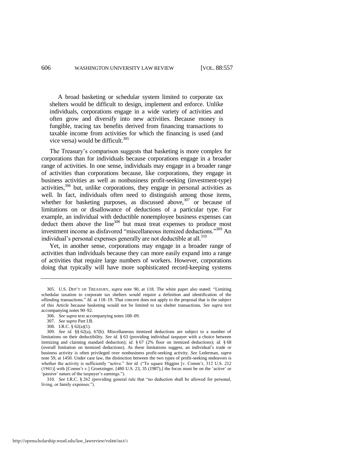A broad basketing or schedular system limited to corporate tax shelters would be difficult to design, implement and enforce. Unlike individuals, corporations engage in a wide variety of activities and often grow and diversify into new activities. Because money is fungible, tracing tax benefits derived from financing transactions to taxable income from activities for which the financing is used (and vice versa) would be difficult. $305$ 

The Treasury's comparison suggests that basketing is more complex for corporations than for individuals because corporations engage in a broader range of activities. In one sense, individuals may engage in a broader range of activities than corporations because, like corporations, they engage in business activities as well as nonbusiness profit-seeking (investment-type) activities, $306$  but, unlike corporations, they engage in personal activities as well. In fact, individuals often need to distinguish among those items, whether for basketing purposes, as discussed above,  $307$  or because of limitations on or disallowance of deductions of a particular type. For example, an individual with deductible nonemployee business expenses can deduct them above the line<sup>308</sup> but must treat expenses to produce most investment income as disfavored "miscellaneous itemized deductions."<sup>309</sup> An individual's personal expenses generally are not deductible at all.<sup>310</sup>

Yet, in another sense, corporations may engage in a broader range of activities than individuals because they can more easily expand into a range of activities that require large numbers of workers. However, corporations doing that typically will have more sophisticated record-keeping systems

310. *See* I.R.C. § 262 (providing general rule that "no deduction shall be allowed for personal, living, or family expenses.").

<sup>305.</sup> U.S. DEP'T OF TREASURY, *supra* note [90,](#page-16-1) at 118. The white paper also stated: "Limiting schedular taxation to corporate tax shelters would require a definition and identification of the offending transactions." *Id.* at 118–19. That concern does not apply to the proposal that is the subject of this Article because basketing would not be limited to tax shelter transactions. *See supra* text accompanying note[s 90](#page-16-1)[–92.](#page-17-2) 

<sup>306.</sup> *See supra* text accompanying note[s 108–](#page-20-1)09.

<sup>307.</sup> *See supra* Part I.B.

<sup>308.</sup> I.R.C. § 62(a)(1).

<sup>309.</sup> *See id.* §§ 62(a), 67(b). Miscellaneous itemized deductions are subject to a number of limitations on their deductibility. *See id.* § 63 (providing individual taxpayer with a choice between itemizing and claiming standard deduction); *id.* § 67 (2% floor on itemized deductions); *id.* § 68 (overall limitation on itemized deductions). As these limitations suggest, an individual's trade or business activity is often privileged over nonbusiness profit-seeking activity. *See* Lederman, *supra* note [59,](#page-12-2) at 1450. Under case law, the distinction between the two types of profit-seeking endeavors is whether the activity is sufficiently "active." See id. ("To square Higgins [v. Comm'r, 312 U.S. 212 (1941)] with [Comm'r v.] Groetzinger, [480 U.S. 23, 35 (1987),] the focus must be on the ‗active' or 'passive' nature of the taxpayer's earnings.").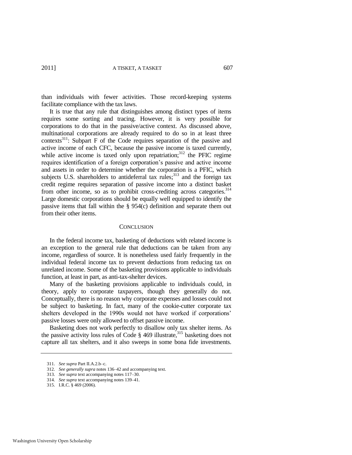than individuals with fewer activities. Those record-keeping systems facilitate compliance with the tax laws.

It is true that any rule that distinguishes among distinct types of items requires some sorting and tracing. However, it is very possible for corporations to do that in the passive/active context. As discussed above, multinational corporations are already required to do so in at least three contexts<sup>311</sup>: Subpart F of the Code requires separation of the passive and active income of each CFC, because the passive income is taxed currently, while active income is taxed only upon repatriation; $312$  the PFIC regime requires identification of a foreign corporation's passive and active income and assets in order to determine whether the corporation is a PFIC, which subjects U.S. shareholders to antideferral tax rules; $313$  and the foreign tax credit regime requires separation of passive income into a distinct basket from other income, so as to prohibit cross-crediting across categories.<sup>314</sup> Large domestic corporations should be equally well equipped to identify the passive items that fall within the § 954(c) definition and separate them out from their other items.

#### **CONCLUSION**

In the federal income tax, basketing of deductions with related income is an exception to the general rule that deductions can be taken from any income, regardless of source. It is nonetheless used fairly frequently in the individual federal income tax to prevent deductions from reducing tax on unrelated income. Some of the basketing provisions applicable to individuals function, at least in part, as anti-tax-shelter devices.

Many of the basketing provisions applicable to individuals could, in theory, apply to corporate taxpayers, though they generally do not. Conceptually, there is no reason why corporate expenses and losses could not be subject to basketing. In fact, many of the cookie-cutter corporate tax shelters developed in the 1990s would not have worked if corporations' passive losses were only allowed to offset passive income.

Basketing does not work perfectly to disallow only tax shelter items. As the passive activity loss rules of Code  $\S$  469 illustrate,<sup>315</sup> basketing does not capture all tax shelters, and it also sweeps in some bona fide investments.

<sup>311.</sup> *See supra* Part II.A.2.b–c.

<sup>312.</sup> *See generally supra* note[s 136–](#page-23-1)42 and accompanying text.

<sup>313.</sup> *See supra* text accompanying note[s 117–](#page-21-2)30.

<sup>314.</sup> *See supra* text accompanying note[s 139–](#page-23-2)41.

<sup>315.</sup> I.R.C. § 469 (2006).